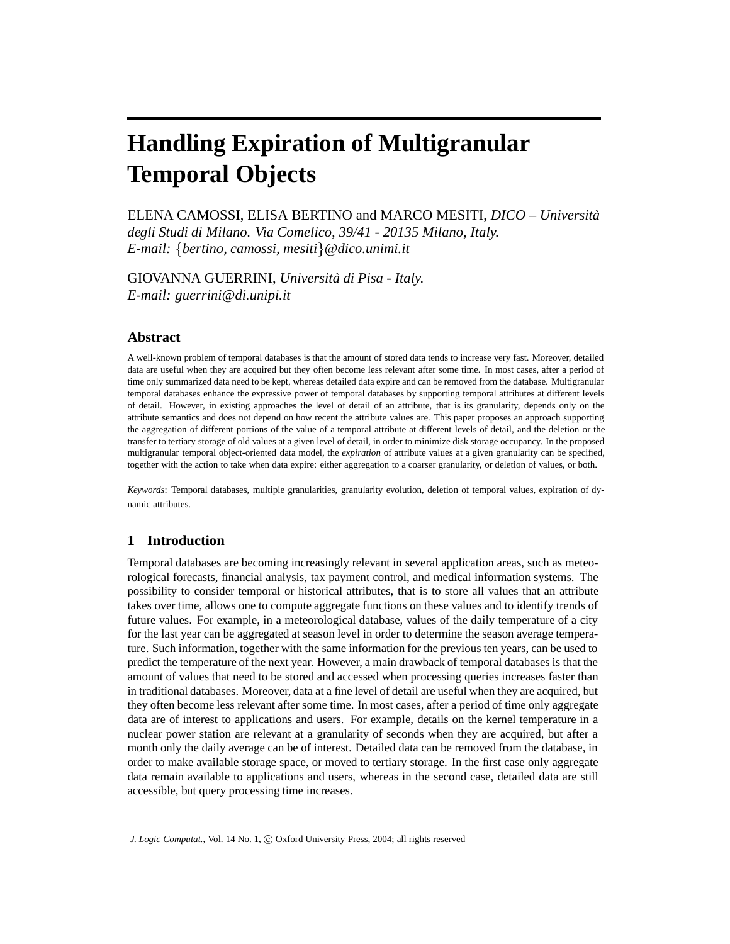ELENA CAMOSSI, ELISA BERTINO and MARCO MESITI, *DICO – Universita` degli Studi di Milano. Via Comelico, 39/41 - 20135 Milano, Italy. E-mail: bertino, camossi, mesiti@dico.unimi.it*

GIOVANNA GUERRINI, *Universita di Pisa - Italy. ` E-mail: guerrini@di.unipi.it*

# **Abstract**

A well-known problem of temporal databases is that the amount of stored data tends to increase very fast. Moreover, detailed data are useful when they are acquired but they often become less relevant after some time. In most cases, after a period of time only summarized data need to be kept, whereas detailed data expire and can be removed from the database. Multigranular temporal databases enhance the expressive power of temporal databases by supporting temporal attributes at different levels of detail. However, in existing approaches the level of detail of an attribute, that is its granularity, depends only on the attribute semantics and does not depend on how recent the attribute values are. This paper proposes an approach supporting the aggregation of different portions of the value of a temporal attribute at different levels of detail, and the deletion or the transfer to tertiary storage of old values at a given level of detail, in order to minimize disk storage occupancy. In the proposed multigranular temporal object-oriented data model, the *expiration* of attribute values at a given granularity can be specified, together with the action to take when data expire: either aggregation to a coarser granularity, or deletion of values, or both.

*Keywords*: Temporal databases, multiple granularities, granularity evolution, deletion of temporal values, expiration of dynamic attributes.

# **1 Introduction**

Temporal databases are becoming increasingly relevant in several application areas, such as meteorological forecasts, financial analysis, tax payment control, and medical information systems. The possibility to consider temporal or historical attributes, that is to store all values that an attribute takes over time, allows one to compute aggregate functions on these values and to identify trends of future values. For example, in a meteorological database, values of the daily temperature of a city for the last year can be aggregated at season level in order to determine the season average temperature. Such information, together with the same information for the previous ten years, can be used to predict the temperature of the next year. However, a main drawback of temporal databases is that the amount of values that need to be stored and accessed when processing queries increases faster than in traditional databases. Moreover, data at a fine level of detail are useful when they are acquired, but they often become less relevant after some time. In most cases, after a period of time only aggregate data are of interest to applications and users. For example, details on the kernel temperature in a nuclear power station are relevant at a granularity of seconds when they are acquired, but after a month only the daily average can be of interest. Detailed data can be removed from the database, in order to make available storage space, or moved to tertiary storage. In the first case only aggregate data remain available to applications and users, whereas in the second case, detailed data are still accessible, but query processing time increases.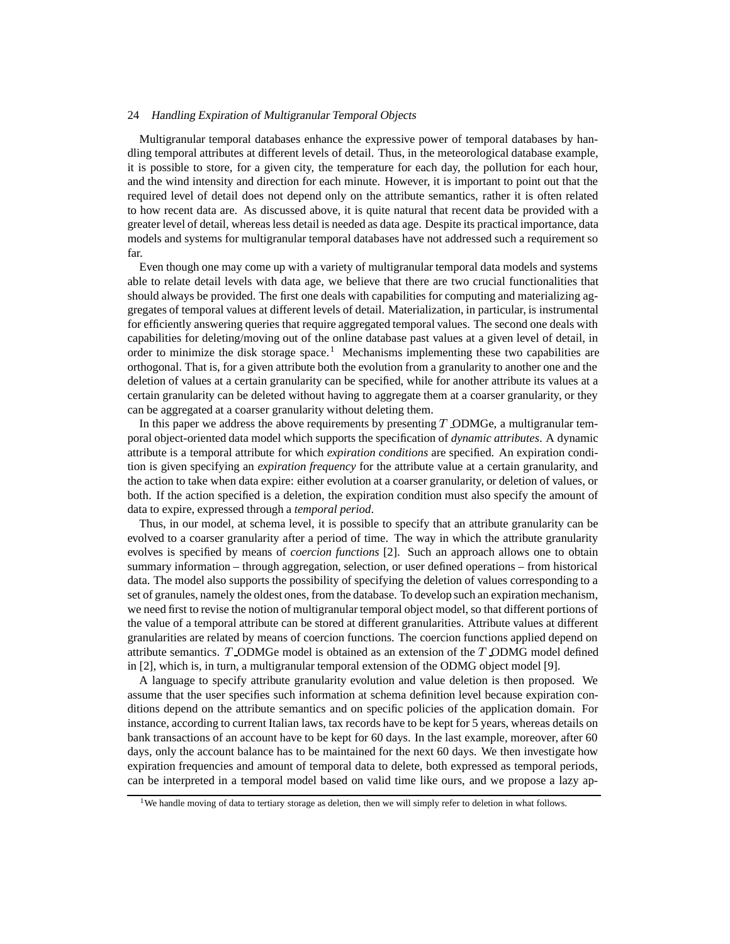Multigranular temporal databases enhance the expressive power of temporal databases by handling temporal attributes at different levels of detail. Thus, in the meteorological database example, it is possible to store, for a given city, the temperature for each day, the pollution for each hour, and the wind intensity and direction for each minute. However, it is important to point out that the required level of detail does not depend only on the attribute semantics, rather it is often related to how recent data are. As discussed above, it is quite natural that recent data be provided with a greater level of detail, whereas less detail is needed as data age. Despite its practical importance, data models and systems for multigranular temporal databases have not addressed such a requirement so far.

Even though one may come up with a variety of multigranular temporal data models and systems able to relate detail levels with data age, we believe that there are two crucial functionalities that should always be provided. The first one deals with capabilities for computing and materializing aggregates of temporal values at different levels of detail. Materialization, in particular, is instrumental for efficiently answering queries that require aggregated temporal values. The second one deals with capabilities for deleting/moving out of the online database past values at a given level of detail, in order to minimize the disk storage space.<sup>1</sup> Mechanisms implementing these two capabilities are orthogonal. That is, for a given attribute both the evolution from a granularity to another one and the deletion of values at a certain granularity can be specified, while for another attribute its values at a certain granularity can be deleted without having to aggregate them at a coarser granularity, or they can be aggregated at a coarser granularity without deleting them.

In this paper we address the above requirements by presenting  $T$  ODMGe, a multigranular temporal object-oriented data model which supports the specification of *dynamic attributes*. A dynamic attribute is a temporal attribute for which *expiration conditions* are specified. An expiration condition is given specifying an *expiration frequency* for the attribute value at a certain granularity, and the action to take when data expire: either evolution at a coarser granularity, or deletion of values, or both. If the action specified is a deletion, the expiration condition must also specify the amount of data to expire, expressed through a *temporal period*.

Thus, in our model, at schema level, it is possible to specify that an attribute granularity can be evolved to a coarser granularity after a period of time. The way in which the attribute granularity evolves is specified by means of *coercion functions* [2]. Such an approach allows one to obtain summary information – through aggregation, selection, or user defined operations – from historical data. The model also supports the possibility of specifying the deletion of values corresponding to a set of granules, namely the oldest ones, from the database. To develop such an expiration mechanism, we need first to revise the notion of multigranular temporal object model, so that different portions of the value of a temporal attribute can be stored at different granularities. Attribute values at different granularities are related by means of coercion functions. The coercion functions applied depend on attribute semantics.  $T_{\text{ODMGe model}}$  is obtained as an extension of the  $T_{\text{ODMGe model}}$  defined in [2], which is, in turn, a multigranular temporal extension of the ODMG object model [9].

A language to specify attribute granularity evolution and value deletion is then proposed. We assume that the user specifies such information at schema definition level because expiration conditions depend on the attribute semantics and on specific policies of the application domain. For instance, according to current Italian laws, tax records have to be kept for 5 years, whereas details on bank transactions of an account have to be kept for 60 days. In the last example, moreover, after 60 days, only the account balance has to be maintained for the next 60 days. We then investigate how expiration frequencies and amount of temporal data to delete, both expressed as temporal periods, can be interpreted in a temporal model based on valid time like ours, and we propose a lazy ap-

<sup>&</sup>lt;sup>1</sup>We handle moving of data to tertiary storage as deletion, then we will simply refer to deletion in what follows.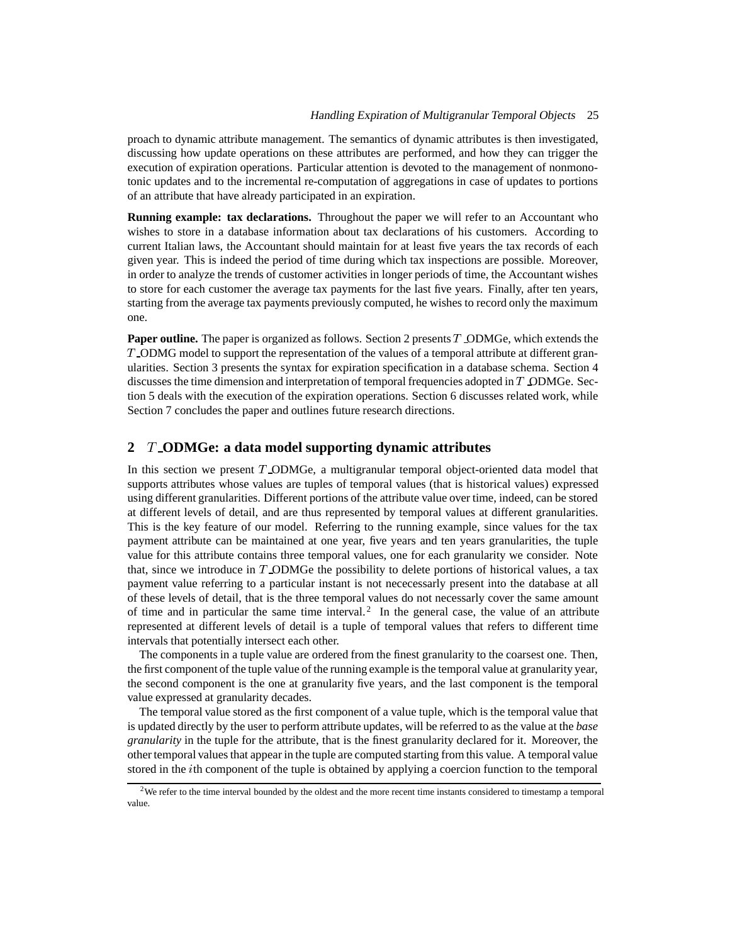proach to dynamic attribute management. The semantics of dynamic attributes is then investigated, discussing how update operations on these attributes are performed, and how they can trigger the execution of expiration operations. Particular attention is devoted to the management of nonmonotonic updates and to the incremental re-computation of aggregations in case of updates to portions of an attribute that have already participated in an expiration.

**Running example: tax declarations.** Throughout the paper we will refer to an Accountant who wishes to store in a database information about tax declarations of his customers. According to current Italian laws, the Accountant should maintain for at least five years the tax records of each given year. This is indeed the period of time during which tax inspections are possible. Moreover, in order to analyze the trends of customer activities in longer periods of time, the Accountant wishes to store for each customer the average tax payments for the last five years. Finally, after ten years, starting from the average tax payments previously computed, he wishes to record only the maximum one.

**Paper outline.** The paper is organized as follows. Section 2 presents T ODMGe, which extends the  $T_{\rm \bullet}$  ODMG model to support the representation of the values of a temporal attribute at different granularities. Section 3 presents the syntax for expiration specification in a database schema. Section 4 discusses the time dimension and interpretation of temporal frequencies adopted in  $T$  ODMGe. Section 5 deals with the execution of the expiration operations. Section 6 discusses related work, while Section 7 concludes the paper and outlines future research directions.

## **2 ODMGe: a data model supporting dynamic attributes**

In this section we present  $T_\text{1}$  ODMGe, a multigranular temporal object-oriented data model that supports attributes whose values are tuples of temporal values (that is historical values) expressed using different granularities. Different portions of the attribute value over time, indeed, can be stored at different levels of detail, and are thus represented by temporal values at different granularities. This is the key feature of our model. Referring to the running example, since values for the tax payment attribute can be maintained at one year, five years and ten years granularities, the tuple value for this attribute contains three temporal values, one for each granularity we consider. Note that, since we introduce in  $T$  ODMGe the possibility to delete portions of historical values, a tax payment value referring to a particular instant is not nececessarly present into the database at all of these levels of detail, that is the three temporal values do not necessarly cover the same amount of time and in particular the same time interval.<sup>2</sup> In the general case, the value of an attribute represented at different levels of detail is a tuple of temporal values that refers to different time intervals that potentially intersect each other.

The components in a tuple value are ordered from the finest granularity to the coarsest one. Then, the first component of the tuple value of the running example is the temporal value at granularity year, the second component is the one at granularity five years, and the last component is the temporal value expressed at granularity decades.

The temporal value stored as the first component of a value tuple, which is the temporal value that is updated directly by the user to perform attribute updates, will be referred to as the value at the *base granularity* in the tuple for the attribute, that is the finest granularity declared for it. Moreover, the other temporal values that appear in the tuple are computed starting from this value. A temporal value stored in the *i*th component of the tuple is obtained by applying a coercion function to the temporal

 $2$ We refer to the time interval bounded by the oldest and the more recent time instants considered to timestamp a temporal value.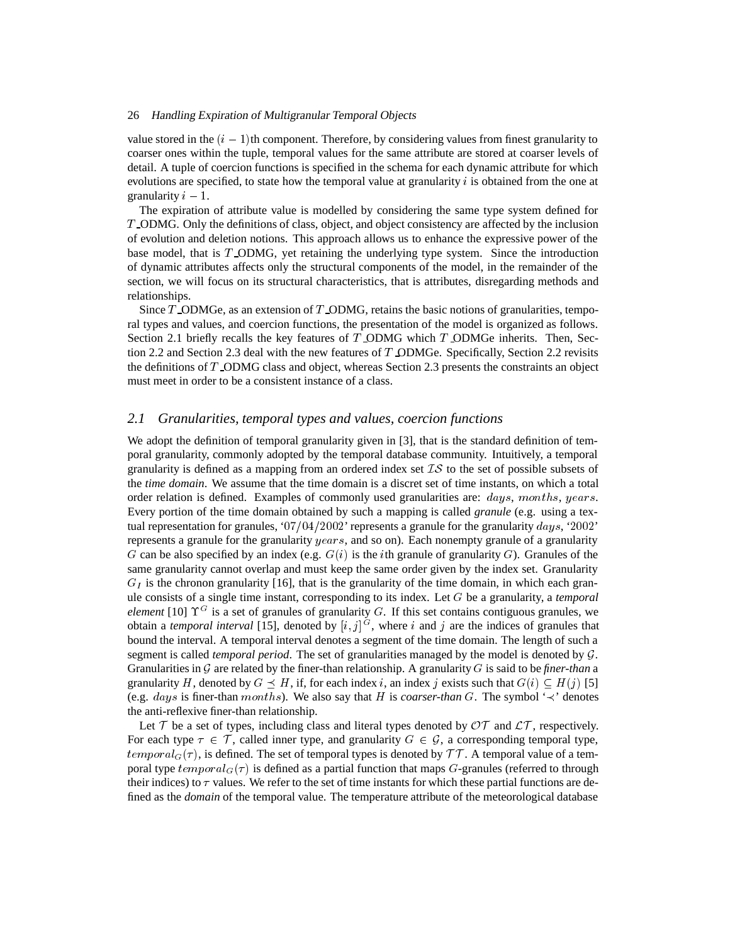value stored in the  $(i - 1)$ th component. Therefore, by considering values from finest granularity to coarser ones within the tuple, temporal values for the same attribute are stored at coarser levels of detail. A tuple of coercion functions is specified in the schema for each dynamic attribute for which evolutions are specified, to state how the temporal value at granularity  $i$  is obtained from the one at granularity  $i - 1$ .

The expiration of attribute value is modelled by considering the same type system defined for  $T_{\rm }$ -ODMG. Only the definitions of class, object, and object consistency are affected by the inclusion of evolution and deletion notions. This approach allows us to enhance the expressive power of the base model, that is  $T_{\text{ODMG}}$ , yet retaining the underlying type system. Since the introduction of dynamic attributes affects only the structural components of the model, in the remainder of the section, we will focus on its structural characteristics, that is attributes, disregarding methods and relationships.

Since  $T_{\text{-ODMG}}$ , as an extension of  $T_{\text{-ODMG}}$ , retains the basic notions of granularities, temporal types and values, and coercion functions, the presentation of the model is organized as follows. Section 2.1 briefly recalls the key features of  $T$  ODMG which  $T$  ODMGe inherits. Then, Section 2.2 and Section 2.3 deal with the new features of  $T$  ODMGe. Specifically, Section 2.2 revisits the definitions of  $T$  ODMG class and object, whereas Section 2.3 presents the constraints an object must meet in order to be a consistent instance of a class.

## *2.1 Granularities, temporal types and values, coercion functions*

We adopt the definition of temporal granularity given in [3], that is the standard definition of temporal granularity, commonly adopted by the temporal database community. Intuitively, a temporal granularity is defined as a mapping from an ordered index set  $TS$  to the set of possible subsets of the *time domain*. We assume that the time domain is a discret set of time instants, on which a total order relation is defined. Examples of commonly used granularities are:  $days, months, years.$ Every portion of the time domain obtained by such a mapping is called *granule* (e.g. using a textual representation for granules, '07/04/2002' represents a granule for the granularity  $days$ , '2002' represents a granule for the granularity *years*, and so on). Each nonempty granule of a granularity G can be also specified by an index (e.g.  $G(i)$  is the *i*th granule of granularity G). Granules of the same granularity cannot overlap and must keep the same order given by the index set. Granularity  $G_I$  is the chronon granularity [16], that is the granularity of the time domain, in which each granule consists of a single time instant, corresponding to its index. Let be a granularity, a *temporal element* [10]  $\Upsilon$ <sup>*G*</sup> is a set of granules of granularity *G*. If this set contains contiguous granules, we obtain a *temporal interval* [15], denoted by  $[i, j]$ <sup> $G$ </sup>, where i and j are the indices of granules that bound the interval. A temporal interval denotes a segment of the time domain. The length of such a segment is called *temporal period*. The set of granularities managed by the model is denoted by  $\mathcal{G}$ . Granularities in  $\mathcal G$  are related by the finer-than relationship. A granularity  $G$  is said to be *finer-than* a granularity H, denoted by  $G \preceq H$ , if, for each index i, an index j exists such that  $G(i) \subseteq H(j)$  [5] (e.g.  $days$  is finer-than *months*). We also say that H is *coarser-than* G. The symbol ' $\prec$ ' denotes the anti-reflexive finer-than relationship.

Let  $T$  be a set of types, including class and literal types denoted by  $\mathcal{OT}$  and  $\mathcal{LT}$ , respectively. For each type  $\tau \in \mathcal{T}$ , called inner type, and granularity  $G \in \mathcal{G}$ , a corresponding temporal type,  $temporal_{G}(\tau)$ , is defined. The set of temporal types is denoted by  $\mathcal{TT}$ . A temporal value of a temporal type  $temporal_{G}(\tau)$  is defined as a partial function that maps G-granules (referred to through their indices) to  $\tau$  values. We refer to the set of time instants for which these partial functions are defined as the *domain* of the temporal value. The temperature attribute of the meteorological database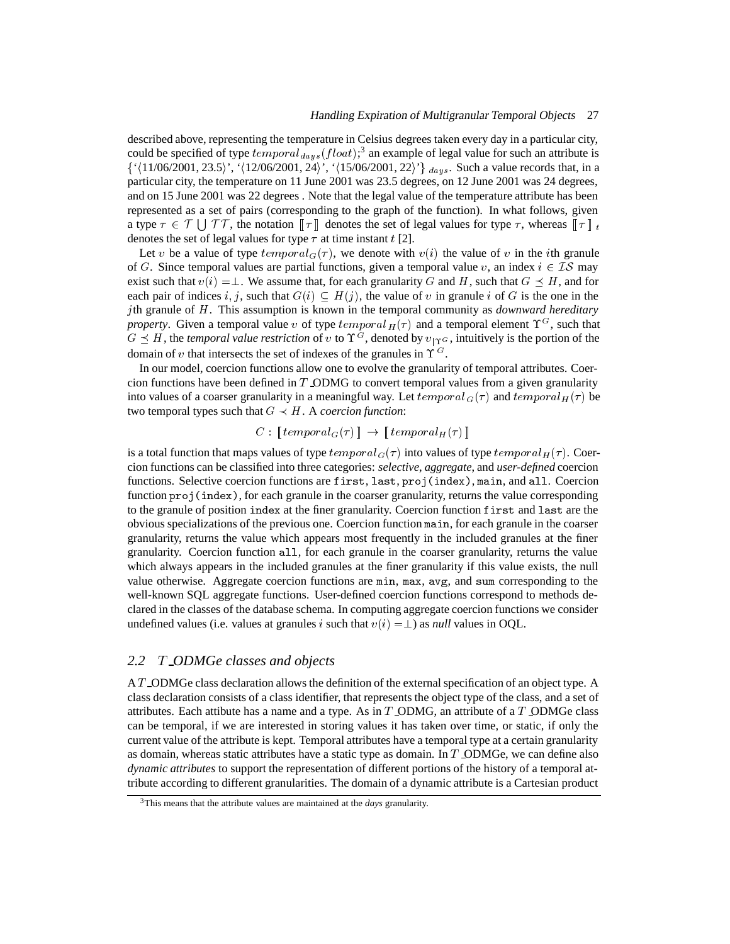described above, representing the temperature in Celsius degrees taken every day in a particular city, could be specified of type  $temporal_{days}(float)$ ;<sup>3</sup> an example of legal value for such an attribute is  $\{(11/06/2001, 23.5)\}, \{(2/06/2001, 24)\}, \{(15/06/2001, 22)\}\$  days. Such a value records that, in a particular city, the temperature on 11 June 2001 was 23.5 degrees, on 12 June 2001 was 24 degrees, and on 15 June 2001 was 22 degrees . Note that the legal value of the temperature attribute has been represented as a set of pairs (corresponding to the graph of the function). In what follows, given a type  $\tau \in \mathcal{T} \cup \mathcal{T} \mathcal{T}$ , the notation  $\llbracket \tau \rrbracket$  denotes the set of legal values for type  $\tau$ , whereas  $\llbracket \tau \rrbracket_t$ denotes the set of legal values for type  $\tau$  at time instant t [2].

Let v be a value of type  $temporal_G(\tau)$ , we denote with  $v(i)$  the value of v in the *i*th granule of G. Since temporal values are partial functions, given a temporal value v, an index  $i \in \mathcal{IS}$  may exist such that  $v(i) = \perp$ . We assume that, for each granularity G and H, such that  $G \preceq H$ , and for each pair of indices i, j, such that  $G(i) \subseteq H(j)$ , the value of v in granule i of G is the one in the ith granule of H. This assumption is known in the temporal community as *downward hereditary property*. Given a temporal value v of type  $temporal_H(\tau)$  and a temporal element  $\Upsilon^G$ , such that  $G \preceq H$ , the *temporal value restriction* of v to  $\Upsilon^G$ , denoted by  $v_{\vert \Upsilon^G}$ , intuitively is the portion of the domain of v that intersects the set of indexes of the granules in  $\Upsilon$ <sup>G</sup>.

In our model, coercion functions allow one to evolve the granularity of temporal attributes. Coercion functions have been defined in  $T$  ODMG to convert temporal values from a given granularity into values of a coarser granularity in a meaningful way. Let  $temporal_G(\tau)$  and  $temporal_H(\tau)$  be two temporal types such that  $G \prec H$ . A *coercion function*:

> $\circ$  . Let us the potator  $\alpha$  ( $\tau$  ) is a let us the potator  $\alpha$  of  $\eta$  (if is a let us to  $\alpha$ the contract of the contract of the contract of the contract of the contract of

is a total function that maps values of type  $temporal_G(\tau)$  into values of type  $temporal_H(\tau)$ . Coercion functions can be classified into three categories: *selective*, *aggregate*, and *user-defined* coercion functions. Selective coercion functions are first, last, proj (index), main, and all. Coercion function proj (index), for each granule in the coarser granularity, returns the value corresponding to the granule of position index at the finer granularity. Coercion function first and last are the obvious specializations of the previous one. Coercion function , for each granule in the coarser granularity, returns the value which appears most frequently in the included granules at the finer granularity. Coercion function all, for each granule in the coarser granularity, returns the value which always appears in the included granules at the finer granularity if this value exists, the null value otherwise. Aggregate coercion functions are  $min$ ,  $max$ ,  $avg$ , and  $sum$  corresponding to the well-known SQL aggregate functions. User-defined coercion functions correspond to methods declared in the classes of the database schema. In computing aggregate coercion functions we consider undefined values (i.e. values at granules *i* such that  $v(i) = \perp$ ) as *null* values in OQL.

# *2.2 ODMGe classes and objects*

 $\Lambda$  T\_ODMGe class declaration allows the definition of the external specification of an object type. A class declaration consists of a class identifier, that represents the object type of the class, and a set of attributes. Each attibute has a name and a type. As in  $T$  ODMG, an attribute of a  $T$  ODMGe class can be temporal, if we are interested in storing values it has taken over time, or static, if only the current value of the attribute is kept. Temporal attributes have a temporal type at a certain granularity as domain, whereas static attributes have a static type as domain. In  $T$  ODMGe, we can define also *dynamic attributes* to support the representation of different portions of the history of a temporal attribute according to different granularities. The domain of a dynamic attribute is a Cartesian product

<sup>3</sup>This means that the attribute values are maintained at the *days* granularity.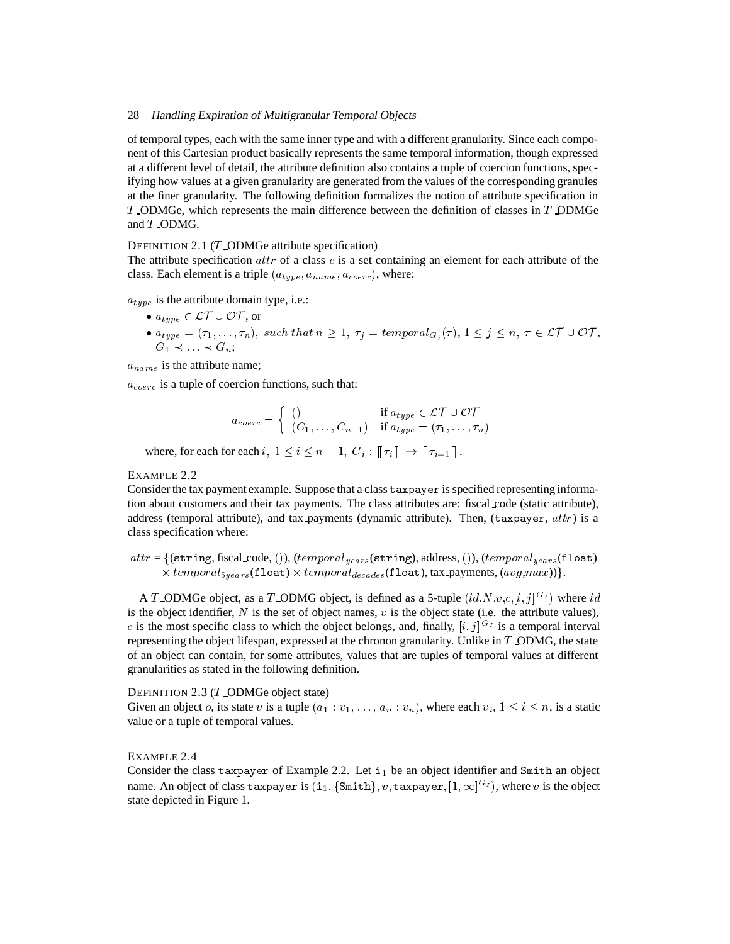of temporal types, each with the same inner type and with a different granularity. Since each component of this Cartesian product basically represents the same temporal information, though expressed at a different level of detail, the attribute definition also contains a tuple of coercion functions, specifying how values at a given granularity are generated from the values of the corresponding granules at the finer granularity. The following definition formalizes the notion of attribute specification in  $T_{\text{-ODMGe}}$ , which represents the main difference between the definition of classes in  $T_{\text{-ODMGe}}$ and  $T$  ODMG.

## DEFINITION 2.1  $(T_\text{1}$  ODMGe attribute specification)

The attribute specification  $attr$  of a class  $c$  is a set containing an element for each attribute of the class. Each element is a triple  $(a_{type}, a_{name}, a_{coerc})$ , where:

 $a_{type}$  is the attribute domain type, i.e.:

- $\bullet$   $a_{type} \in \mathcal{LT} \cup \mathcal{OT},$  or
- $a_{type} = (\tau_1, \ldots, \tau_n)$ , such that  $n \geq 1$ ,  $\tau_j = temporal_{G_j}(\tau), 1 \leq j \leq n$ ,  $\tau \in \mathcal{LT} \cup \mathcal{OT}$ ,  $G_1 \prec \ldots \prec G_n;$

 $a_{name}$  is the attribute name;

 $a_{coerc}$  is a tuple of coercion functions, such that:

$$
a_{coerc} = \begin{cases} () & \text{if } a_{type} \in \mathcal{LT} \cup \mathcal{OT} \\ (C_1, \ldots, C_{n-1}) & \text{if } a_{type} = (\tau_1, \ldots, \tau_n) \end{cases}
$$

where, for each for each i,  $1 \leq i \leq n-1$ ,  $C_i$  :  $\llbracket \tau_i \rrbracket \rightarrow \llbracket \tau_{i+1} \rrbracket$ .

EXAMPLE 2.2

Consider the tax payment example. Suppose that a class taxpayer is specified representing information about customers and their tax payments. The class attributes are: fiscal code (static attribute), address (temporal attribute), and tax payments (dynamic attribute). Then,  $(\text{taxpayer}, \text{attr})$  is a class specification where:

 $attr = \{(\text{string}, \text{fical code}, (), (temporal_{years}(\text{string}), \text{address}, (), (temporal_{years}(\text{float})$  $\times$  temporal<sub>5years</sub> (float)  $\times$  temporal<sub>decades</sub> (float), tax payments,  $(avg, max)$ ).

A T\_ODMGe object, as a T\_ODMG object, is defined as a 5-tuple  $(id, N, v, c, [i, j]^{G_I})$  where  $id$ is the object identifier,  $N$  is the set of object names,  $v$  is the object state (i.e. the attribute values), c is the most specific class to which the object belongs, and, finally,  $[i, j]^{G_I}$  is a temporal interval representing the object lifespan, expressed at the chronon granularity. Unlike in  $T$  ODMG, the state of an object can contain, for some attributes, values that are tuples of temporal values at different granularities as stated in the following definition.

DEFINITION  $2.3$  (T\_ODMGe object state)

Given an object *o*, its state *v* is a tuple  $(a_1 : v_1, \ldots, a_n : v_n)$ , where each  $v_i$ ,  $1 \le i \le n$ , is a static value or a tuple of temporal values.

EXAMPLE 2.4

Consider the class taxpayer of Example 2.2. Let  $i_1$  be an object identifier and Smith an object name. An object of class taxpayer is  $(i_1, \{ \texttt{Smith} \}, v, \texttt{taryayer}, [1, \infty]^{G_I}),$  where  $v$  is the object state depicted in Figure 1.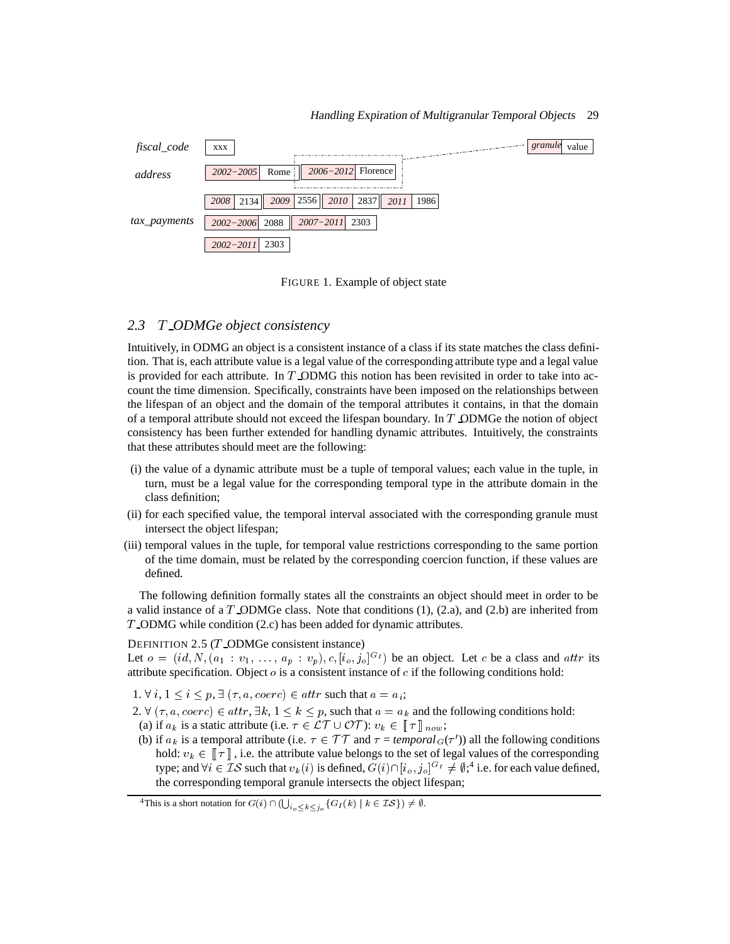

FIGURE 1. Example of object state

# *2.3 ODMGe object consistency*

Intuitively, in ODMG an object is a consistent instance of a class if its state matches the class definition. That is, each attribute value is a legal value of the corresponding attribute type and a legal value is provided for each attribute. In  $T$  ODMG this notion has been revisited in order to take into account the time dimension. Specifically, constraints have been imposed on the relationships between the lifespan of an object and the domain of the temporal attributes it contains, in that the domain of a temporal attribute should not exceed the lifespan boundary. In  $T$  ODMGe the notion of object consistency has been further extended for handling dynamic attributes. Intuitively, the constraints that these attributes should meet are the following:

- (i) the value of a dynamic attribute must be a tuple of temporal values; each value in the tuple, in turn, must be a legal value for the corresponding temporal type in the attribute domain in the class definition;
- (ii) for each specified value, the temporal interval associated with the corresponding granule must intersect the object lifespan;
- (iii) temporal values in the tuple, for temporal value restrictions corresponding to the same portion of the time domain, must be related by the corresponding coercion function, if these values are defined.

The following definition formally states all the constraints an object should meet in order to be a valid instance of a  $T_\text{ODMGe}$  class. Note that conditions (1), (2.a), and (2.b) are inherited from ODMG while condition (2.c) has been added for dynamic attributes.

#### DEFINITION 2.5  $(T$  ODMGe consistent instance)

Let  $o = (id, N, (a_1 : v_1, \ldots, a_p : v_p), c, [i_o, j_o]^{G_I})$  be an object. Let c be a class and attr its attribute specification. Object  $o$  is a consistent instance of  $c$  if the following conditions hold:

1.  $\forall i, 1 \leq i \leq p, \exists (\tau, a, coerc) \in attr$  such that  $a = a_i$ ;

2.  $\forall (\tau, a, coerc) \in attr$ ,  $\exists k, 1 \le k \le p$ , such that  $a = a_k$  and the following conditions hold:

- (a) if  $a_k$  is a static attribute (i.e.  $\tau \in \mathcal{LT} \cup \mathcal{OT}$ ):  $v_k \in \llbracket \tau \rrbracket_{now};$
- (b) if  $a_k$  is a temporal attribute (i.e.  $\tau \in \mathcal{TT}$  and  $\tau = temporal_G(\tau')$ ) all the following conditions hold:  $v_k \in \llbracket \tau \rrbracket$ , i.e. the attribute value belongs to the set of legal values of the corresponding type; and  $\forall i \in \mathcal{IS}$  such that  $v_k(i)$  is defined,  $G(i) \cap [i_o, j_o]^{G_I} \neq \emptyset;^4$  i.e. for each value defined, the corresponding temporal granule intersects the object lifespan;

<sup>&</sup>lt;sup>4</sup>This is a short notation for  $G(i) \cap (\bigcup_{i_0 < k < j_0} \{G_I(k) \mid k \in \mathcal{IS}\}) \neq \emptyset$ .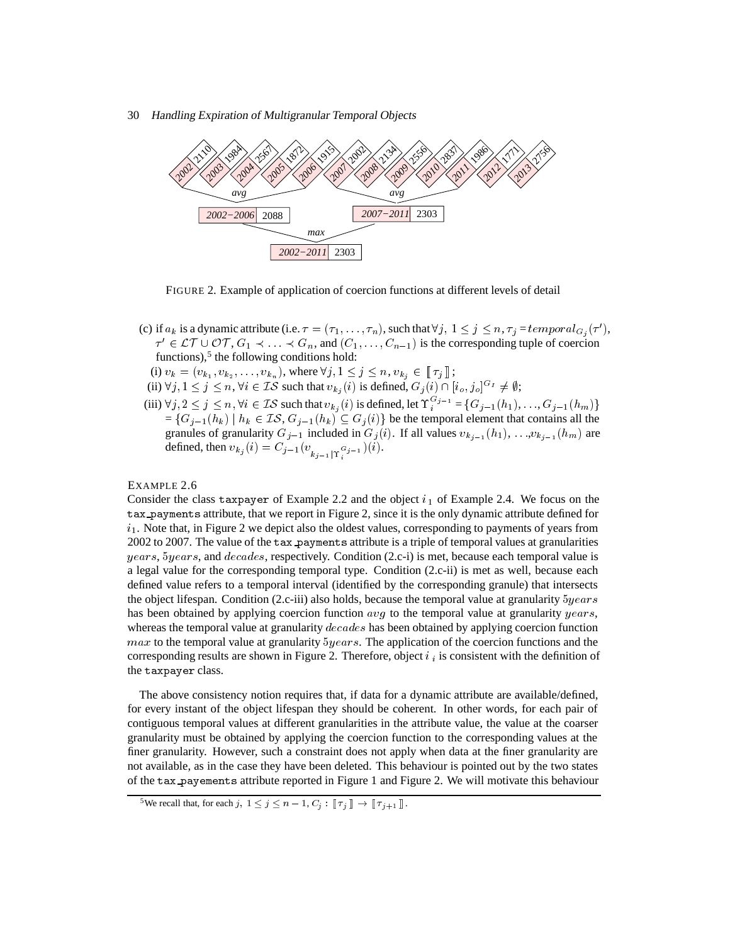

FIGURE 2. Example of application of coercion functions at different levels of detail

- (c) if  $a_k$  is a dynamic attribute (i.e.  $\tau = (\tau_1, \ldots, \tau_n)$ , such that  $\forall j$ ,  $1 \leq j \leq n$ ,  $\tau_j = temporal_{G_j}(\tau')$ ,  $\tau' \in \mathcal{LT} \cup \mathcal{OT}, G_1 \prec \ldots \prec G_n$ , and  $(C_1, \ldots, C_{n-1})$  is the corresponding tuple of coercion functions), $5$  the following conditions hold:
	- (i)  $v_k = (v_{k_1}, v_{k_2}, \dots, v_{k_n})$ , where  $\forall j, 1 \leq j \leq n, v_{k_j} \in [\![ \tau_j ]\!]$ ;
	- (ii)  $\forall j, 1 \leq j \leq n, \forall i \in \mathcal{IS}$  such that  $v_{k_i}(i)$  is defined,  $G_j(i) \cap [i_o, j_o]^{G_I} \neq \emptyset$ ;
- (iii)  $\forall j, 2 \le j \le n, \forall i \in \mathcal{IS}$  such that  $v_{k_j}(i)$  is defined, let  $\Upsilon_i^{\sigma_{j-1}} = \{G_{j-1}(h_1), \ldots, G_{j-1}(h_m)\}$ <br>=  $\{G_{j-1}(h_k) \mid h_k \in \mathcal{IS}, G_{j-1}(h_k) \subseteq G_j(i)\}$  be the temporal element that contains all the granules of granularity  $G_{j-1}$  included in  $G_j(i)$ . If all values  $v_{k_{j-1}}(h_1), \ldots, v_{k_{j-1}}(h_m)$  are defined, then  $v_{k_j}(i) = C_{j-1}(v_{k_{j-1}|{\Upsilon}_i^{G_{j-1}}})(i)$ .

## EXAMPLE 2.6

Consider the class taxpayer of Example 2.2 and the object  $i_1$  of Example 2.4. We focus on the tax\_payments attribute, that we report in Figure 2, since it is the only dynamic attribute defined for  $i_1$ . Note that, in Figure 2 we depict also the oldest values, corresponding to payments of years from 2002 to 2007. The value of the tax payments attribute is a triple of temporal values at granularities years, 5years, and decades, respectively. Condition (2.c-i) is met, because each temporal value is a legal value for the corresponding temporal type. Condition (2.c-ii) is met as well, because each defined value refers to a temporal interval (identified by the corresponding granule) that intersects the object lifespan. Condition (2.c-iii) also holds, because the temporal value at granularity  $5 years$ has been obtained by applying coercion function  $avg$  to the temporal value at granularity  $years$ , whereas the temporal value at granularity *decades* has been obtained by applying coercion function  $max$  to the temporal value at granularity  $5 \nu ears$ . The application of the coercion functions and the corresponding results are shown in Figure 2. Therefore, object  $i_i$  is consistent with the definition of the taxpayer class.

The above consistency notion requires that, if data for a dynamic attribute are available/defined, for every instant of the object lifespan they should be coherent. In other words, for each pair of contiguous temporal values at different granularities in the attribute value, the value at the coarser granularity must be obtained by applying the coercion function to the corresponding values at the finer granularity. However, such a constraint does not apply when data at the finer granularity are not available, as in the case they have been deleted. This behaviour is pointed out by the two states of the tax\_payements attribute reported in Figure 1 and Figure 2. We will motivate this behaviour

<sup>&</sup>lt;sup>5</sup>We recall that, for each j,  $1 \le j \le n-1$ ,  $C_i : \llbracket \tau_i \rrbracket \to \llbracket \tau_{i+1} \rrbracket$ .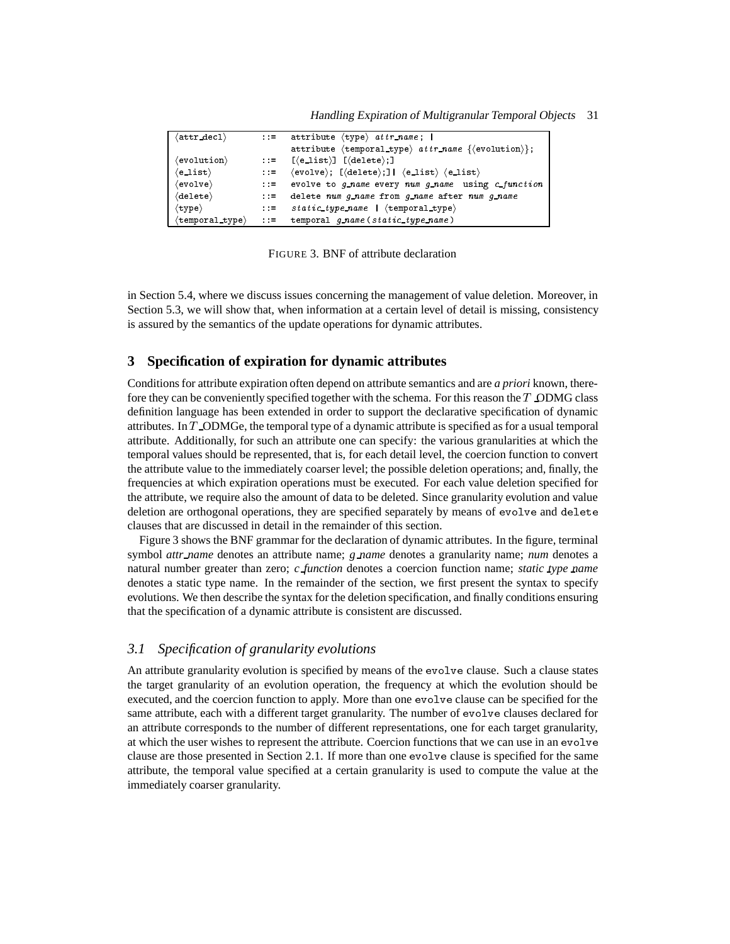Handling Expiration of Multigranular Temporal Objects 31

| $\langle \texttt{attr\_decl} \rangle$ | $\cdots$ attribute $\langle \text{type} \rangle$ attr_name;                                                                                         |
|---------------------------------------|-----------------------------------------------------------------------------------------------------------------------------------------------------|
|                                       | attribute $\langle$ temporal_type $\rangle$ attr_name $\{\langle$ evolution $\rangle\}$ ;                                                           |
| $\langle$ evolution $\rangle$         | $::=$ [ $\langle$ e $\exists$ ist $\rangle$ ] [ $\langle$ delete $\rangle$ ;]                                                                       |
| $\langle$ e $\lrcorner$ ist $\rangle$ | $\cdot := \langle \text{evolve} \rangle$ ; [ $\langle \text{delete} \rangle$ ; ]  $\langle \text{e\_list} \rangle$ $\langle \text{e\_list} \rangle$ |
| (evolve)                              | $\cdots$ evolve to g name every num g name using c function                                                                                         |
| $\langle$ delete $\rangle$            | ::= delete num q_name from q_name after num q_name                                                                                                  |
| $\langle$ type $\rangle$              | $\cdots$ = static_type_name   $\langle$ temporal_type $\rangle$                                                                                     |
| $\langle$ temporal_type $\rangle$     | $\cdots$ temporal q_name(static_type_name)                                                                                                          |

FIGURE 3. BNF of attribute declaration

in Section 5.4, where we discuss issues concerning the management of value deletion. Moreover, in Section 5.3, we will show that, when information at a certain level of detail is missing, consistency is assured by the semantics of the update operations for dynamic attributes.

# **3 Specification of expiration for dynamic attributes**

Conditions for attribute expiration often depend on attribute semantics and are *a priori* known, therefore they can be conveniently specified together with the schema. For this reason the  $T$  ODMG class definition language has been extended in order to support the declarative specification of dynamic attributes. In  $T_{\rm o}$  ODMGe, the temporal type of a dynamic attribute is specified as for a usual temporal attribute. Additionally, for such an attribute one can specify: the various granularities at which the temporal values should be represented, that is, for each detail level, the coercion function to convert the attribute value to the immediately coarser level; the possible deletion operations; and, finally, the frequencies at which expiration operations must be executed. For each value deletion specified for the attribute, we require also the amount of data to be deleted. Since granularity evolution and value deletion are orthogonal operations, they are specified separately by means of evolve and delete clauses that are discussed in detail in the remainder of this section.

Figure 3 shows the BNF grammar for the declaration of dynamic attributes. In the figure, terminal symbol *attr name* denotes an attribute name; *g name* denotes a granularity name; *num* denotes a natural number greater than zero; *c function* denotes a coercion function name; *static type name* denotes a static type name. In the remainder of the section, we first present the syntax to specify evolutions. We then describe the syntax for the deletion specification, and finally conditions ensuring that the specification of a dynamic attribute is consistent are discussed.

# *3.1 Specification of granularity evolutions*

An attribute granularity evolution is specified by means of the evolve clause. Such a clause states the target granularity of an evolution operation, the frequency at which the evolution should be executed, and the coercion function to apply. More than one evolve clause can be specified for the same attribute, each with a different target granularity. The number of evolve clauses declared for an attribute corresponds to the number of different representations, one for each target granularity, at which the user wishes to represent the attribute. Coercion functions that we can use in an clause are those presented in Section 2.1. If more than one evolve clause is specified for the same attribute, the temporal value specified at a certain granularity is used to compute the value at the immediately coarser granularity.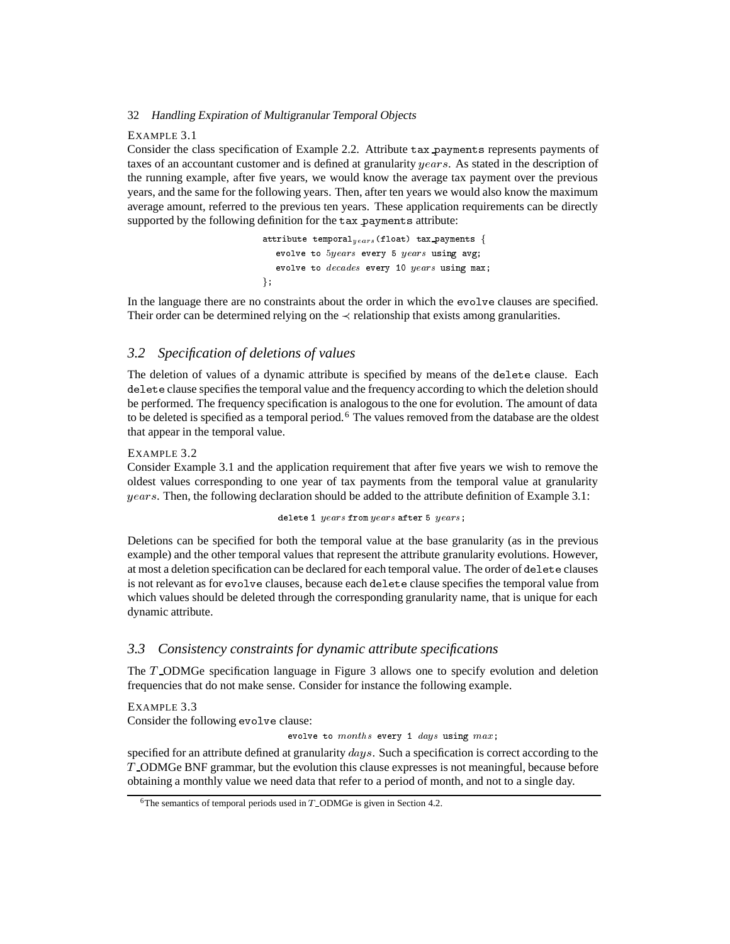## EXAMPLE 3.1

Consider the class specification of Example 2.2. Attribute tax payments represents payments of taxes of an accountant customer and is defined at granularity  $years$ . As stated in the description of the running example, after five years, we would know the average tax payment over the previous years, and the same for the following years. Then, after ten years we would also know the maximum average amount, referred to the previous ten years. These application requirements can be directly supported by the following definition for the  $\tan x$  payments attribute:

> - -  -  -  ------ -- -------- ----- -- -- ---- **-----** ---- ,  $\}$ ;

In the language there are no constraints about the order in which the evolve clauses are specified. Their order can be determined relying on the  $\prec$  relationship that exists among granularities.

# *3.2 Specification of deletions of values*

The deletion of values of a dynamic attribute is specified by means of the delete clause. Each delete clause specifies the temporal value and the frequency according to which the deletion should be performed. The frequency specification is analogous to the one for evolution. The amount of data to be deleted is specified as a temporal period.<sup>6</sup> The values removed from the database are the oldest that appear in the temporal value.

## EXAMPLE 3.2

Consider Example 3.1 and the application requirement that after five years we wish to remove the oldest values corresponding to one year of tax payments from the temporal value at granularity *years*. Then, the following declaration should be added to the attribute definition of Example 3.1:

  -  - 

Deletions can be specified for both the temporal value at the base granularity (as in the previous example) and the other temporal values that represent the attribute granularity evolutions. However, at most a deletion specification can be declared for each temporal value. The order of delete clauses is not relevant as for evolve clauses, because each delete clause specifies the temporal value from which values should be deleted through the corresponding granularity name, that is unique for each dynamic attribute.

# *3.3 Consistency constraints for dynamic attribute specifications*

The  $T_\text{-ODMGe}$  specification language in Figure 3 allows one to specify evolution and deletion frequencies that do not make sense. Consider for instance the following example.

EXAMPLE 3.3 Consider the following evolve clause:

 -  

specified for an attribute defined at granularity  $days$ . Such a specification is correct according to the ODMGe BNF grammar, but the evolution this clause expresses is not meaningful, because before obtaining a monthly value we need data that refer to a period of month, and not to a single day.

 ${}^{6}$ The semantics of temporal periods used in  $T$ -ODMGe is given in Section 4.2.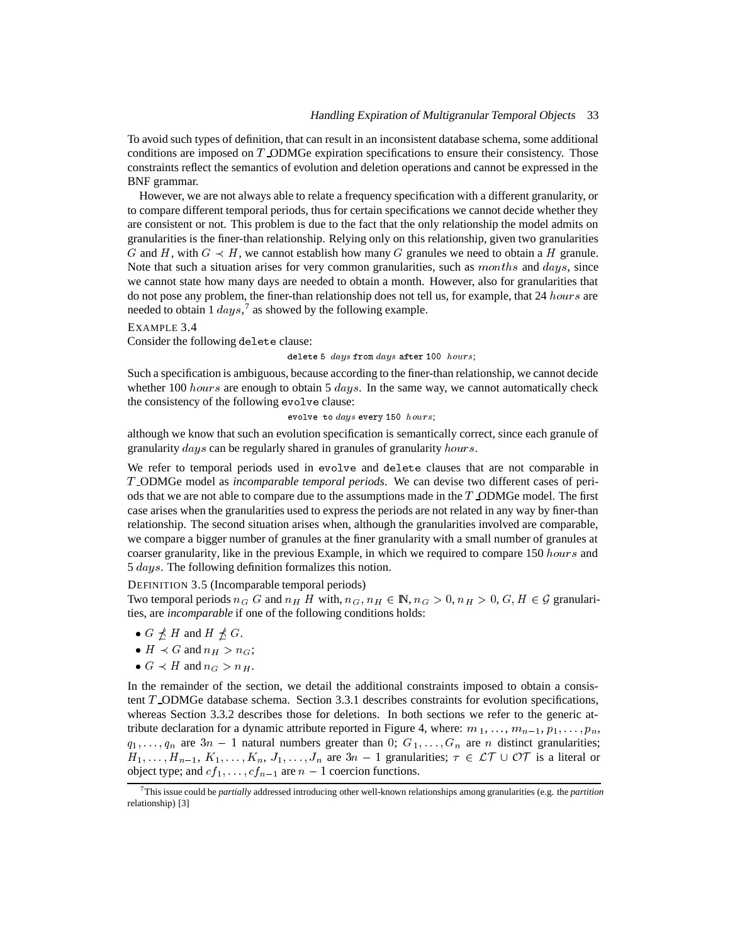To avoid such types of definition, that can result in an inconsistent database schema, some additional conditions are imposed on T\_ODMGe expiration specifications to ensure their consistency. Those constraints reflect the semantics of evolution and deletion operations and cannot be expressed in the BNF grammar.

However, we are not always able to relate a frequency specification with a different granularity, or to compare different temporal periods, thus for certain specifications we cannot decide whether they are consistent or not. This problem is due to the fact that the only relationship the model admits on granularities is the finer-than relationship. Relying only on this relationship, given two granularities G and H, with  $G \prec H$ , we cannot establish how many G granules we need to obtain a H granule. Note that such a situation arises for very common granularities, such as  $months$  and  $days$ , since we cannot state how many days are needed to obtain a month. However, also for granularities that do not pose any problem, the finer-than relationship does not tell us, for example, that  $24$  hours are needed to obtain 1  $days$ ,<sup>7</sup> as showed by the following example.

## EXAMPLE 3.4

Consider the following delete clause:

delete 5  $\; days$  from  $days$  after 100  $\; hours;$ 

Such a specification is ambiguous, because according to the finer-than relationship, we cannot decide whether 100 hours are enough to obtain 5  $days$ . In the same way, we cannot automatically check the consistency of the following evolve clause:

evolve to  $days$  every 150  $hours;$ 

although we know that such an evolution specification is semantically correct, since each granule of granularity  $days$  can be regularly shared in granules of granularity  $hours$ .

We refer to temporal periods used in evolve and delete clauses that are not comparable in ODMGe model as *incomparable temporal periods*. We can devise two different cases of periods that we are not able to compare due to the assumptions made in the  $T$  ODMGe model. The first case arises when the granularities used to express the periods are not related in any way by finer-than relationship. The second situation arises when, although the granularities involved are comparable, we compare a bigger number of granules at the finer granularity with a small number of granules at coarser granularity, like in the previous Example, in which we required to compare  $150$  hours and  $5 \; days$ . The following definition formalizes this notion.

DEFINITION 3.5 (Incomparable temporal periods)

Two temporal periods  $n_G G$  and  $n_H H$  with,  $n_G, n_H \in \mathbb{N}$ ,  $n_G > 0$ ,  $n_H > 0$ ,  $G, H \in \mathcal{G}$  granularities, are *incomparable* if one of the following conditions holds:

- $G \npreceq H$  and  $H \npreceq G$ .
- $H \prec G$  and  $n_H > n_G$ ;
- $G \prec H$  and  $n_G > n_H$ .

In the remainder of the section, we detail the additional constraints imposed to obtain a consistent  $T_{\text{-}}$ ODMGe database schema. Section 3.3.1 describes constraints for evolution specifications, whereas Section 3.3.2 describes those for deletions. In both sections we refer to the generic attribute declaration for a dynamic attribute reported in Figure 4, where:  $m_1, \ldots, m_{n-1}, p_1, \ldots, p_n$ ,  $q_1, \ldots, q_n$  are  $3n-1$  natural numbers greater than 0;  $G_1, \ldots, G_n$  are n distinct granularities;  $H_1, \ldots, H_{n-1}, K_1, \ldots, K_n, J_1, \ldots, J_n$  are  $3n-1$  granularities;  $\tau \in \mathcal{LT} \cup \mathcal{OT}$  is a literal or object type; and  $cf_1, \ldots, cf_{n-1}$  are  $n-1$  coercion functions.

<sup>7</sup>This issue could be *partially* addressed introducing other well-known relationships among granularities (e.g. the *partition* relationship) [3]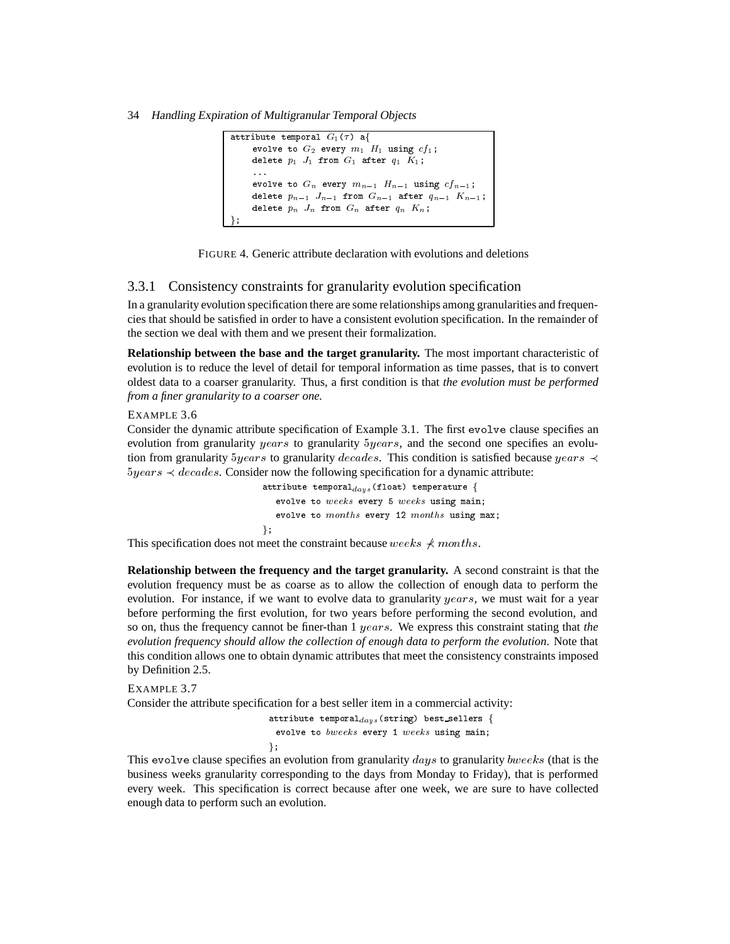```
-

-
   -
   -
 -
   	 
    -
  -

   	 -
 	 	 	 	
  	 	 -
 	 -

  	 	 -
 	 -

\blacksquare
```
FIGURE 4. Generic attribute declaration with evolutions and deletions

# 3.3.1 Consistency constraints for granularity evolution specification

In a granularity evolution specification there are some relationships among granularities and frequencies that should be satisfied in order to have a consistent evolution specification. In the remainder of the section we deal with them and we present their formalization.

**Relationship between the base and the target granularity.** The most important characteristic of evolution is to reduce the level of detail for temporal information as time passes, that is to convert oldest data to a coarser granularity. Thus, a first condition is that *the evolution must be performed from a finer granularity to a coarser one.*

EXAMPLE 3.6

Consider the dynamic attribute specification of Example 3.1. The first evolve clause specifies an evolution from granularity *years* to granularity  $5 \nu ears$ , and the second one specifies an evolution from granularity 5 *years* to granularity *decades*. This condition is satisfied because *years*  $\prec$  $5 years \prec decades$ . Consider now the following specification for a dynamic attribute:

```
\mathbf{r} and \mathbf{r} . The state of \mathbf{r}  		-
 -
  		-
 	 	
    -
   	 
\} ;
```
This specification does not meet the constraint because  $\text{weeks } \nless \text{months.}$ 

**Relationship between the frequency and the target granularity.** A second constraint is that the evolution frequency must be as coarse as to allow the collection of enough data to perform the evolution. For instance, if we want to evolve data to granularity  $years$ , we must wait for a year before performing the first evolution, for two years before performing the second evolution, and so on, thus the frequency cannot be finer-than 1 *years*. We express this constraint stating that *the evolution frequency should allow the collection of enough data to perform the evolution*. Note that this condition allows one to obtain dynamic attributes that meet the consistency constraints imposed by Definition 2.5.

EXAMPLE 3.7

Consider the attribute specification for a best seller item in a commercial activity:

- - - - - - - -  $\cdot$ 

This evolve clause specifies an evolution from granularity  $days$  to granularity  $bweeks$  (that is the business weeks granularity corresponding to the days from Monday to Friday), that is performed every week. This specification is correct because after one week, we are sure to have collected enough data to perform such an evolution.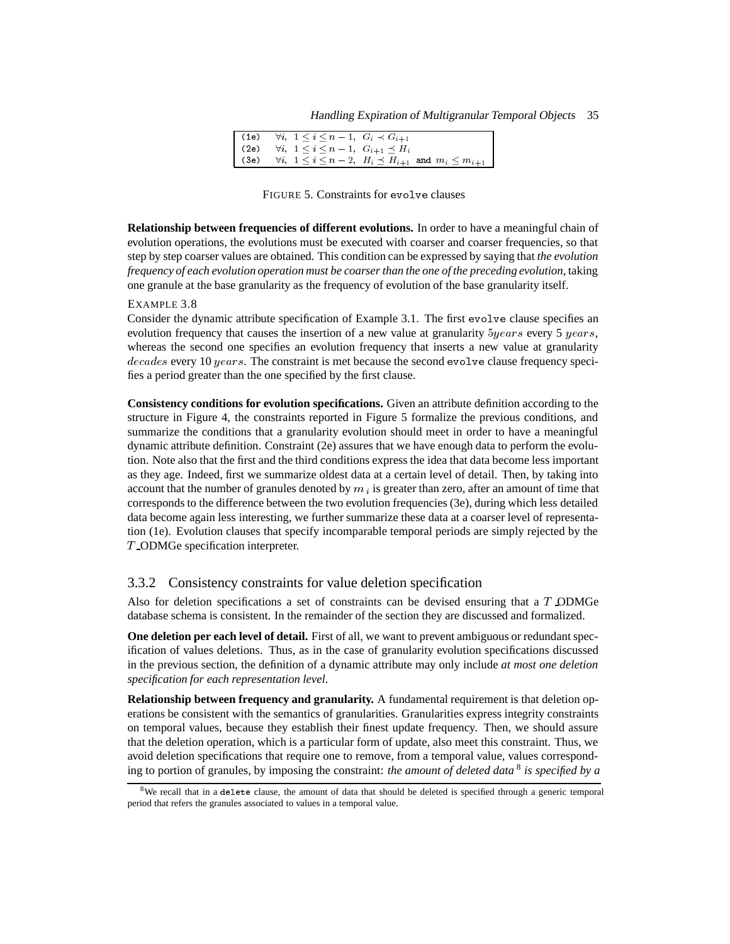| (1e) $\forall i, 1 \leq i \leq n-1, G_i \leq G_{i+1}$                           |
|---------------------------------------------------------------------------------|
| (2e) $\forall i, 1 \leq i \leq n-1, G_{i+1} \leq H_i$                           |
| (3e) $\forall i, 1 \leq i \leq n-2, H_i \preceq H_{i+1}$ and $m_i \leq m_{i+1}$ |

| FIGURE 5. Constraints for evolve clauses |  |
|------------------------------------------|--|
|------------------------------------------|--|

**Relationship between frequencies of different evolutions.** In order to have a meaningful chain of evolution operations, the evolutions must be executed with coarser and coarser frequencies, so that step by step coarser values are obtained. This condition can be expressed by saying that *the evolution frequency of each evolution operation must be coarser than the one of the preceding evolution*, taking one granule at the base granularity as the frequency of evolution of the base granularity itself.

## EXAMPLE 3.8

Consider the dynamic attribute specification of Example 3.1. The first evolve clause specifies an evolution frequency that causes the insertion of a new value at granularity  $5 \, years$ , whereas the second one specifies an evolution frequency that inserts a new value at granularity  $decades$  every 10  $years$ . The constraint is met because the second evolve clause frequency specifies a period greater than the one specified by the first clause.

**Consistency conditions for evolution specifications.** Given an attribute definition according to the structure in Figure 4, the constraints reported in Figure 5 formalize the previous conditions, and summarize the conditions that a granularity evolution should meet in order to have a meaningful dynamic attribute definition. Constraint (2e) assures that we have enough data to perform the evolution. Note also that the first and the third conditions express the idea that data become less important as they age. Indeed, first we summarize oldest data at a certain level of detail. Then, by taking into account that the number of granules denoted by  $m_i$  is greater than zero, after an amount of time that corresponds to the difference between the two evolution frequencies (3e), during which less detailed data become again less interesting, we further summarize these data at a coarser level of representation (1e). Evolution clauses that specify incomparable temporal periods are simply rejected by the ODMGe specification interpreter.

# 3.3.2 Consistency constraints for value deletion specification

Also for deletion specifications a set of constraints can be devised ensuring that a  $T$  ODMGe database schema is consistent. In the remainder of the section they are discussed and formalized.

**One deletion per each level of detail.** First of all, we want to prevent ambiguous or redundant specification of values deletions. Thus, as in the case of granularity evolution specifications discussed in the previous section, the definition of a dynamic attribute may only include *at most one deletion specification for each representation level*.

**Relationship between frequency and granularity.** A fundamental requirement is that deletion operations be consistent with the semantics of granularities. Granularities express integrity constraints on temporal values, because they establish their finest update frequency. Then, we should assure that the deletion operation, which is a particular form of update, also meet this constraint. Thus, we avoid deletion specifications that require one to remove, from a temporal value, values corresponding to portion of granules, by imposing the constraint: *the amount of deleted data* <sup>8</sup> *is specified by a*

<sup>&</sup>lt;sup>8</sup>We recall that in a delete clause, the amount of data that should be deleted is specified through a generic temporal period that refers the granules associated to values in a temporal value.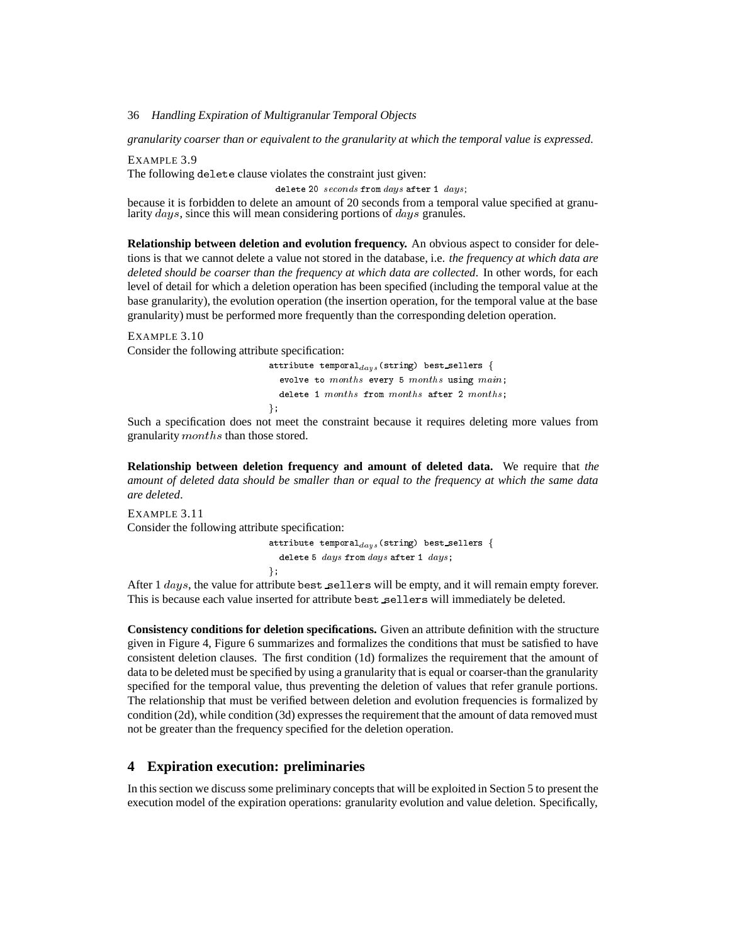*granularity coarser than or equivalent to the granularity at which the temporal value is expressed*.

EXAMPLE 3.9 The following delete clause violates the constraint just given:

delete 20  $\,s\,e\,c\,on\,ds$  from  $days$  after 1  $\,days;$ 

because it is forbidden to delete an amount of 20 seconds from a temporal value specified at granularity  $days$ , since this will mean considering portions of  $days$  granules.

**Relationship between deletion and evolution frequency.** An obvious aspect to consider for deletions is that we cannot delete a value not stored in the database, i.e. *the frequency at which data are deleted should be coarser than the frequency at which data are collected*. In other words, for each level of detail for which a deletion operation has been specified (including the temporal value at the base granularity), the evolution operation (the insertion operation, for the temporal value at the base granularity) must be performed more frequently than the corresponding deletion operation.

EXAMPLE 3.10 Consider the following attribute specification:

> - - - - - $\mathbf{r}$  -  $\mathbf{r}$  -  $\mathbf{r}$  -  $\mathbf{r}$  -  $\mathbf{r}$  -  $\mathbf{r}$  -  $\mathbf{r}$  -  $\mathbf{r}$  -  $\mathbf{r}$  -  $\mathbf{r}$  -  $\mathbf{r}$  -  $\mathbf{r}$  -  $\mathbf{r}$  -  $\mathbf{r}$  -  $\mathbf{r}$  -  $\mathbf{r}$  -  $\mathbf{r}$  -  $\mathbf{r}$  -  $\mathbf{r}$  -  $\mathbf{r}$  -  $\mathcal{L}_{\mathcal{L}}$  and  $\mathcal{L}_{\mathcal{L}}$  and  $\mathcal{L}_{\mathcal{L}}$  and  $\mathcal{L}_{\mathcal{L}}$  and  $\mathcal{L}_{\mathcal{L}}$  and  $\mathcal{L}_{\mathcal{L}}$  $\}$ ;

Such a specification does not meet the constraint because it requires deleting more values from granularity  $months$  than those stored.

**Relationship between deletion frequency and amount of deleted data.** We require that *the amount of deleted data should be smaller than or equal to the frequency at which the same data are deleted*.

EXAMPLE 3.11 Consider the following attribute specification:

```
\Gamma - \alpha \alpha \beta - \alpha' - \gamma - \gamma - \gamma - \gamma - \gamma - \gamma - \gamma - \gamma - \gamma - \gamma - \gamma - \gamma - \gamma - \gamma - \gamma - \gamma - \gamma - \gamma - \gamma - \gamma - \gamma - \gamma - \gamma - \gamma - \gamma - \gamma - \gamma - \gamma -

 -

 -


\};
```
After 1  $days$ , the value for attribute best sellers will be empty, and it will remain empty forever. This is because each value inserted for attribute best sellers will immediately be deleted.

**Consistency conditions for deletion specifications.** Given an attribute definition with the structure given in Figure 4, Figure 6 summarizes and formalizes the conditions that must be satisfied to have consistent deletion clauses. The first condition (1d) formalizes the requirement that the amount of data to be deleted must be specified by using a granularity that is equal or coarser-than the granularity specified for the temporal value, thus preventing the deletion of values that refer granule portions. The relationship that must be verified between deletion and evolution frequencies is formalized by condition (2d), while condition (3d) expresses the requirement that the amount of data removed must not be greater than the frequency specified for the deletion operation.

# **4 Expiration execution: preliminaries**

In this section we discuss some preliminary concepts that will be exploited in Section 5 to present the execution model of the expiration operations: granularity evolution and value deletion. Specifically,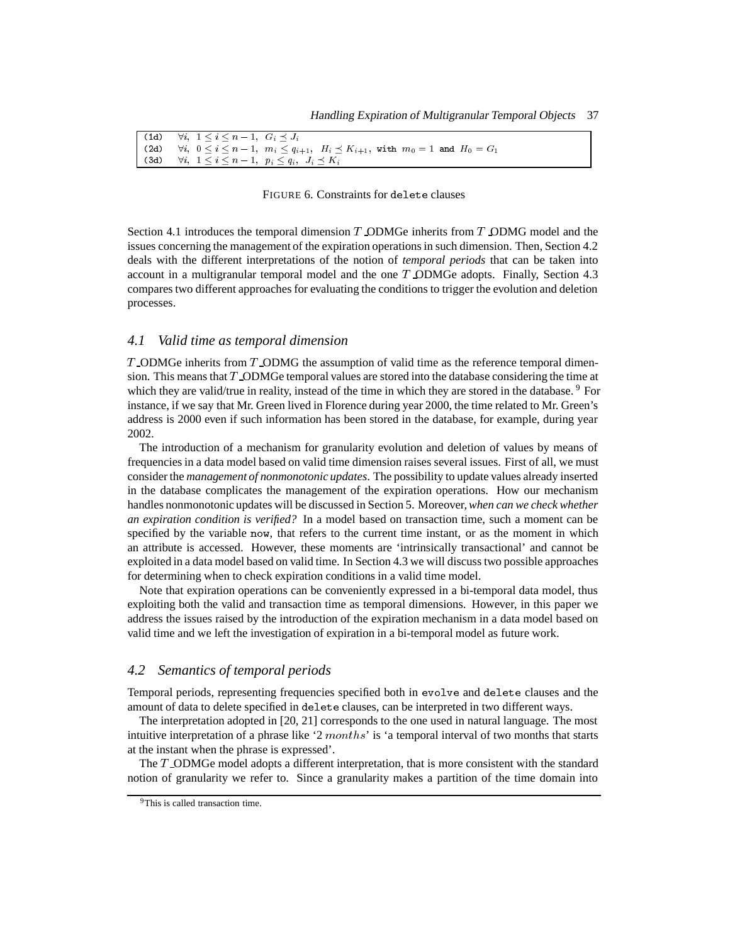|  | (1d) $\forall i, 1 \leq i \leq n-1, G_i \leq J_i$<br>(2d) $\forall i, 0 \leq i \leq n-1, m_i \leq q_{i+1}, H_i \leq K_{i+1},$ with $m_0 = 1$ and $H_0 = G_1$ |
|--|--------------------------------------------------------------------------------------------------------------------------------------------------------------|
|  | (3d) $\forall i, 1 \leq i \leq n-1, p_i \leq q_i, J_i \preceq K_i$                                                                                           |

## FIGURE 6. Constraints for delete clauses

Section 4.1 introduces the temporal dimension  $T$  ODMGe inherits from  $T$  ODMG model and the issues concerning the management of the expiration operations in such dimension. Then, Section 4.2 deals with the different interpretations of the notion of *temporal periods* that can be taken into account in a multigranular temporal model and the one  $T$  ODMGe adopts. Finally, Section 4.3 compares two different approaches for evaluating the conditions to trigger the evolution and deletion processes.

## *4.1 Valid time as temporal dimension*

 $T_\text{-ODMGe}$  inherits from  $T_\text{-ODMGe}$  the assumption of valid time as the reference temporal dimension. This means that  $T_{\rm }$  ODMGe temporal values are stored into the database considering the time at which they are valid/true in reality, instead of the time in which they are stored in the database. <sup>9</sup> For instance, if we say that Mr. Green lived in Florence during year 2000, the time related to Mr. Green's address is 2000 even if such information has been stored in the database, for example, during year 2002.

The introduction of a mechanism for granularity evolution and deletion of values by means of frequencies in a data model based on valid time dimension raises several issues. First of all, we must consider the *management of nonmonotonic updates*. The possibility to update values already inserted in the database complicates the management of the expiration operations. How our mechanism handles nonmonotonic updates will be discussed in Section 5. Moreover,*when can we check whether an expiration condition is verified?* In a model based on transaction time, such a moment can be specified by the variable now, that refers to the current time instant, or as the moment in which an attribute is accessed. However, these moments are 'intrinsically transactional' and cannot be exploited in a data model based on valid time. In Section 4.3 we will discuss two possible approaches for determining when to check expiration conditions in a valid time model.

Note that expiration operations can be conveniently expressed in a bi-temporal data model, thus exploiting both the valid and transaction time as temporal dimensions. However, in this paper we address the issues raised by the introduction of the expiration mechanism in a data model based on valid time and we left the investigation of expiration in a bi-temporal model as future work.

# *4.2 Semantics of temporal periods*

Temporal periods, representing frequencies specified both in evolve and delete clauses and the amount of data to delete specified in delete clauses, can be interpreted in two different ways.

The interpretation adopted in [20, 21] corresponds to the one used in natural language. The most intuitive interpretation of a phrase like '2  $months$ ' is 'a temporal interval of two months that starts at the instant when the phrase is expressed'.

The  $T_\text{-ODMGe}$  model adopts a different interpretation, that is more consistent with the standard notion of granularity we refer to. Since a granularity makes a partition of the time domain into

<sup>&</sup>lt;sup>9</sup>This is called transaction time.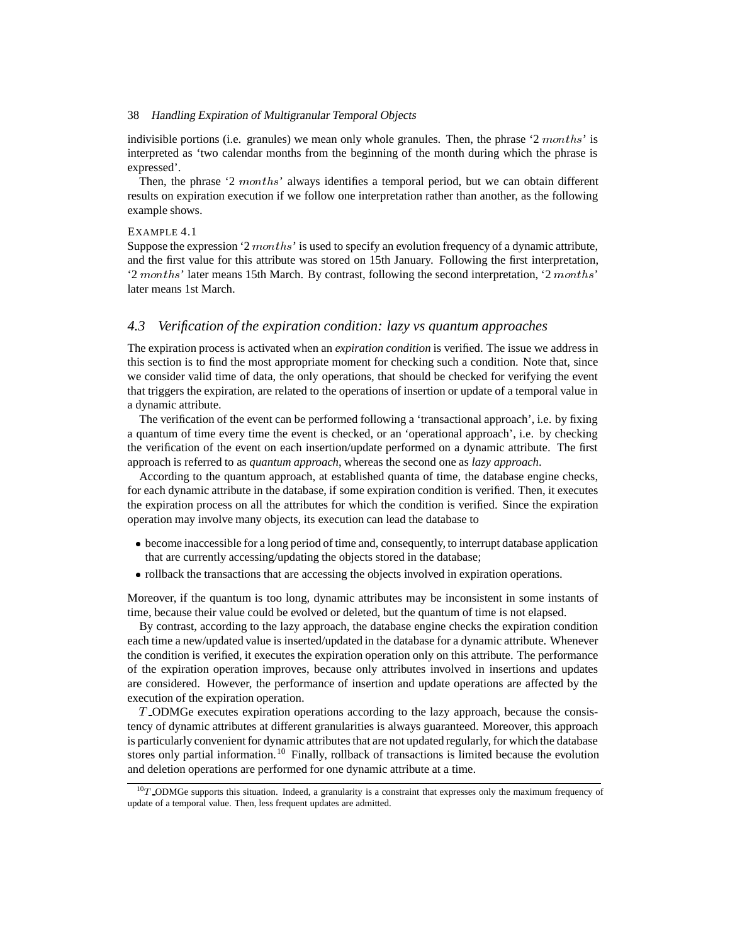indivisible portions (i.e. granules) we mean only whole granules. Then, the phrase  $2$  months' is interpreted as 'two calendar months from the beginning of the month during which the phrase is expressed'.

Then, the phrase '2 months' always identifies a temporal period, but we can obtain different results on expiration execution if we follow one interpretation rather than another, as the following example shows.

#### EXAMPLE 4.1

Suppose the expression '2  $months$ ' is used to specify an evolution frequency of a dynamic attribute, and the first value for this attribute was stored on 15th January. Following the first interpretation, '2  $months$ ' later means 15th March. By contrast, following the second interpretation, '2  $months'$ later means 1st March.

# *4.3 Verification of the expiration condition: lazy vs quantum approaches*

The expiration process is activated when an *expiration condition* is verified. The issue we address in this section is to find the most appropriate moment for checking such a condition. Note that, since we consider valid time of data, the only operations, that should be checked for verifying the event that triggers the expiration, are related to the operations of insertion or update of a temporal value in a dynamic attribute.

The verification of the event can be performed following a 'transactional approach', i.e. by fixing a quantum of time every time the event is checked, or an 'operational approach', i.e. by checking the verification of the event on each insertion/update performed on a dynamic attribute. The first approach is referred to as *quantum approach*, whereas the second one as *lazy approach*.

According to the quantum approach, at established quanta of time, the database engine checks, for each dynamic attribute in the database, if some expiration condition is verified. Then, it executes the expiration process on all the attributes for which the condition is verified. Since the expiration operation may involve many objects, its execution can lead the database to

- become inaccessible for a long period of time and, consequently, to interrupt database application that are currently accessing/updating the objects stored in the database;
- rollback the transactions that are accessing the objects involved in expiration operations.

Moreover, if the quantum is too long, dynamic attributes may be inconsistent in some instants of time, because their value could be evolved or deleted, but the quantum of time is not elapsed.

By contrast, according to the lazy approach, the database engine checks the expiration condition each time a new/updated value is inserted/updated in the database for a dynamic attribute. Whenever the condition is verified, it executes the expiration operation only on this attribute. The performance of the expiration operation improves, because only attributes involved in insertions and updates are considered. However, the performance of insertion and update operations are affected by the execution of the expiration operation.

 $T_\text{-ODMGe}$  executes expiration operations according to the lazy approach, because the consistency of dynamic attributes at different granularities is always guaranteed. Moreover, this approach is particularly convenient for dynamic attributes that are not updated regularly, for which the database stores only partial information.<sup>10</sup> Finally, rollback of transactions is limited because the evolution and deletion operations are performed for one dynamic attribute at a time.

 $10T$  ODMGe supports this situation. Indeed, a granularity is a constraint that expresses only the maximum frequency of update of a temporal value. Then, less frequent updates are admitted.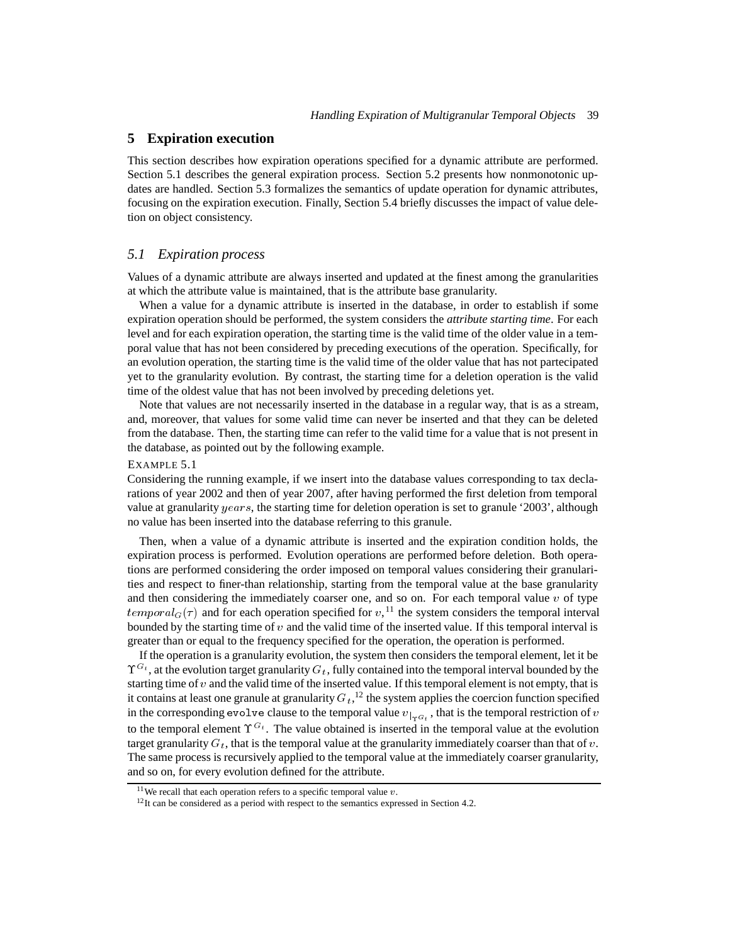## **5 Expiration execution**

This section describes how expiration operations specified for a dynamic attribute are performed. Section 5.1 describes the general expiration process. Section 5.2 presents how nonmonotonic updates are handled. Section 5.3 formalizes the semantics of update operation for dynamic attributes, focusing on the expiration execution. Finally, Section 5.4 briefly discusses the impact of value deletion on object consistency.

# *5.1 Expiration process*

Values of a dynamic attribute are always inserted and updated at the finest among the granularities at which the attribute value is maintained, that is the attribute base granularity.

When a value for a dynamic attribute is inserted in the database, in order to establish if some expiration operation should be performed, the system considers the *attribute starting time*. For each level and for each expiration operation, the starting time is the valid time of the older value in a temporal value that has not been considered by preceding executions of the operation. Specifically, for an evolution operation, the starting time is the valid time of the older value that has not partecipated yet to the granularity evolution. By contrast, the starting time for a deletion operation is the valid time of the oldest value that has not been involved by preceding deletions yet.

Note that values are not necessarily inserted in the database in a regular way, that is as a stream, and, moreover, that values for some valid time can never be inserted and that they can be deleted from the database. Then, the starting time can refer to the valid time for a value that is not present in the database, as pointed out by the following example.

## EXAMPLE 5.1

Considering the running example, if we insert into the database values corresponding to tax declarations of year 2002 and then of year 2007, after having performed the first deletion from temporal value at granularity  $years$ , the starting time for deletion operation is set to granule '2003', although no value has been inserted into the database referring to this granule.

Then, when a value of a dynamic attribute is inserted and the expiration condition holds, the expiration process is performed. Evolution operations are performed before deletion. Both operations are performed considering the order imposed on temporal values considering their granularities and respect to finer-than relationship, starting from the temporal value at the base granularity and then considering the immediately coarser one, and so on. For each temporal value  $v$  of type  $temporal_G(\tau)$  and for each operation specified for  $v<sup>{11}</sup>$ , the system considers the temporal interval bounded by the starting time of  $v$  and the valid time of the inserted value. If this temporal interval is greater than or equal to the frequency specified for the operation, the operation is performed.

If the operation is a granularity evolution, the system then considers the temporal element, let it be  $\Upsilon^{G_t}$ , at the evolution target granularity  $G_t$ , fully contained into the temporal interval bounded by the starting time of  $v$  and the valid time of the inserted value. If this temporal element is not empty, that is it contains at least one granule at granularity  $G_t$ ,<sup>12</sup> the system applies the coercion function specified in the corresponding evolve clause to the temporal value  $v_{\vert_{\gamma G_t}}$ , that is the temporal restriction of  $v$ to the temporal element  $\Upsilon^{G_t}$ . The value obtained is inserted in the temporal value at the evolution target granularity  $G_t$ , that is the temporal value at the granularity immediately coarser than that of v. The same process is recursively applied to the temporal value at the immediately coarser granularity, and so on, for every evolution defined for the attribute.

<sup>&</sup>lt;sup>11</sup>We recall that each operation refers to a specific temporal value  $v$ .

 $12$ It can be considered as a period with respect to the semantics expressed in Section 4.2.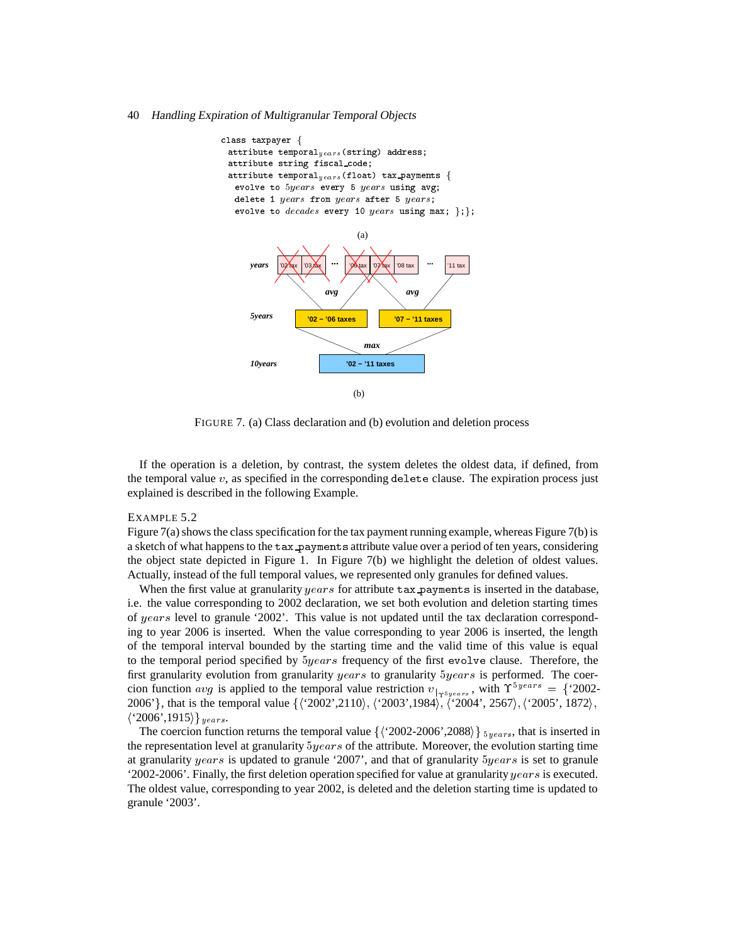```
 
-
 -
 \blacksquare . The contract of the contract of the contract of the contract of the contract of the contract of the contract of the contract of the contract of the contract of the contract of the contract of the contract of the 
 -

 -

 -

-

 -

 -
  	
 	 

 -

 -



	 -
```


FIGURE 7. (a) Class declaration and (b) evolution and deletion process

If the operation is a deletion, by contrast, the system deletes the oldest data, if defined, from the temporal value  $v$ , as specified in the corresponding delete clause. The expiration process just explained is described in the following Example.

## EXAMPLE 5.2

Figure 7(a) shows the class specification for the tax payment running example, whereas Figure 7(b) is a sketch of what happens to the tax payments attribute value over a period of ten years, considering the object state depicted in Figure 1. In Figure 7(b) we highlight the deletion of oldest values. Actually, instead of the full temporal values, we represented only granules for defined values.

When the first value at granularity *years* for attribute  $\text{tax}_{\text{longments}}$  is inserted in the database, i.e. the value corresponding to 2002 declaration, we set both evolution and deletion starting times of years level to granule '2002'. This value is not updated until the tax declaration corresponding to year 2006 is inserted. When the value corresponding to year 2006 is inserted, the length of the temporal interval bounded by the starting time and the valid time of this value is equal to the temporal period specified by  $5 years$  frequency of the first evolve clause. Therefore, the first granularity evolution from granularity *years* to granularity  $5 years$  is performed. The coercion function  $avg$  is applied to the temporal value restriction  $v_{\vert_{\Upsilon}}_{\zeta_{years}}$ , with  $\Upsilon_{5years} =$  {'2002-2006'}, that is the temporal value  $\{(2002, 2110), (2003, 1984), (2004, 2567), (2005, 1872),$  $\langle 2006, 1915 \rangle_{\text{years}}$ 

The coercion function returns the temporal value  $\{ \langle 2002-2006\rangle, 2088 \rangle \}_{\text{5 years}}$ , that is inserted in the representation level at granularity  $5 years$  of the attribute. Moreover, the evolution starting time at granularity  $years$  is updated to granule '2007', and that of granularity  $5 years$  is set to granule '2002-2006'. Finally, the first deletion operation specified for value at granularity  $years$  is executed. The oldest value, corresponding to year 2002, is deleted and the deletion starting time is updated to granule '2003'.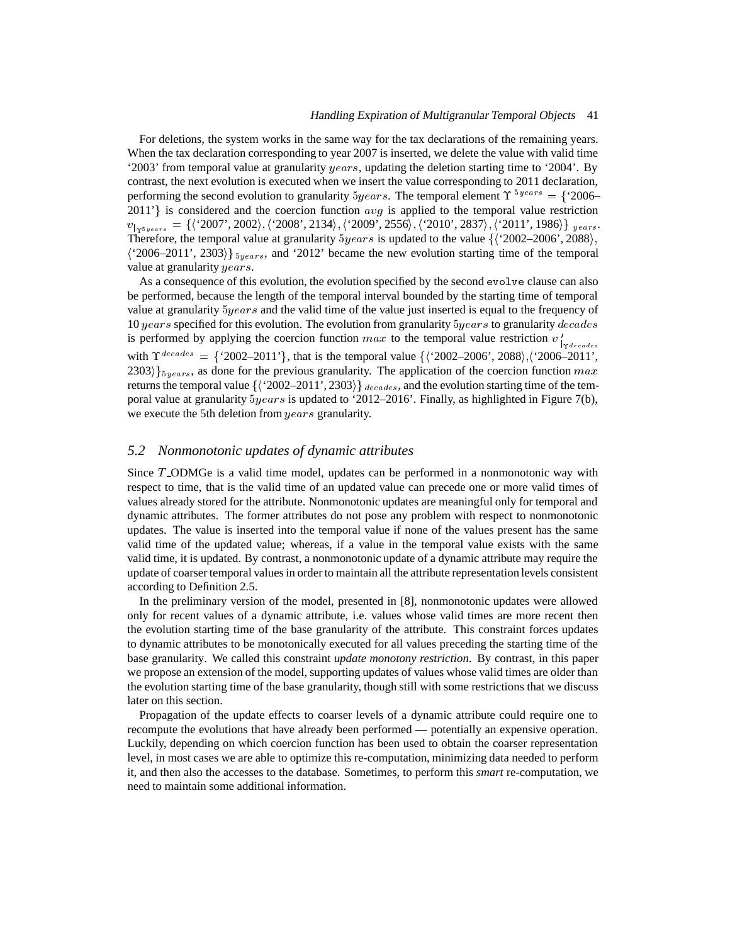For deletions, the system works in the same way for the tax declarations of the remaining years. When the tax declaration corresponding to year 2007 is inserted, we delete the value with valid time '2003' from temporal value at granularity *years*, updating the deletion starting time to '2004'. By contrast, the next evolution is executed when we insert the value corresponding to 2011 declaration, performing the second evolution to granularity  $5 years$ . The temporal element  $\Upsilon^{5 years} = \{ '2006 2011'$  is considered and the coercion function  $avg$  is applied to the temporal value restriction  $v_{|_{\Upsilon^{5 years}}}= \{\langle 2007^{\circ}, 2002\rangle, \langle 2008^{\circ}, 2134\rangle, \langle 2009^{\circ}, 2556\rangle, \langle 2010^{\circ}, 2837\rangle, \langle 2011^{\circ}, 1986\rangle \}$   $_{years}.$ Therefore, the temporal value at granularity  $5 years$  is updated to the value  $\{\langle 2002-2006', 2088 \rangle,$  $\langle$  '2006–2011', 2303)  $\}$ <sub>5years</sub>, and '2012' became the new evolution starting time of the temporal value at granularity *years*.

As a consequence of this evolution, the evolution specified by the second evolve clause can also be performed, because the length of the temporal interval bounded by the starting time of temporal value at granularity  $5 \text{ years}$  and the valid time of the value just inserted is equal to the frequency of 10 years specified for this evolution. The evolution from granularity  $5 years$  to granularity  $decades$ is performed by applying the coercion function  $max$  to the temporal value restriction  $v'_{x^{decades}}$ with  $\Upsilon^{decades} = {\frac{2002-2011'}{$ , that is the temporal value  ${\frac{2002-2006', 2088}{2006-2011', }}$  $2303$ )  $_{5 years}$ , as done for the previous granularity. The application of the coercion function  $max$ returns the temporal value  $\{('2002-2011', 2303)\}\$   $_{decades}$ , and the evolution starting time of the temporal value at granularity  $5 \text{years}$  is updated to '2012–2016'. Finally, as highlighted in Figure 7(b), we execute the 5th deletion from years granularity.

## *5.2 Nonmonotonic updates of dynamic attributes*

Since T\_ODMGe is a valid time model, updates can be performed in a nonmonotonic way with respect to time, that is the valid time of an updated value can precede one or more valid times of values already stored for the attribute. Nonmonotonic updates are meaningful only for temporal and dynamic attributes. The former attributes do not pose any problem with respect to nonmonotonic updates. The value is inserted into the temporal value if none of the values present has the same valid time of the updated value; whereas, if a value in the temporal value exists with the same valid time, it is updated. By contrast, a nonmonotonic update of a dynamic attribute may require the update of coarser temporal values in order to maintain all the attribute representation levels consistent according to Definition 2.5.

In the preliminary version of the model, presented in [8], nonmonotonic updates were allowed only for recent values of a dynamic attribute, i.e. values whose valid times are more recent then the evolution starting time of the base granularity of the attribute. This constraint forces updates to dynamic attributes to be monotonically executed for all values preceding the starting time of the base granularity. We called this constraint *update monotony restriction*. By contrast, in this paper we propose an extension of the model, supporting updates of values whose valid times are older than the evolution starting time of the base granularity, though still with some restrictions that we discuss later on this section.

Propagation of the update effects to coarser levels of a dynamic attribute could require one to recompute the evolutions that have already been performed — potentially an expensive operation. Luckily, depending on which coercion function has been used to obtain the coarser representation level, in most cases we are able to optimize this re-computation, minimizing data needed to perform it, and then also the accesses to the database. Sometimes, to perform this *smart* re-computation, we need to maintain some additional information.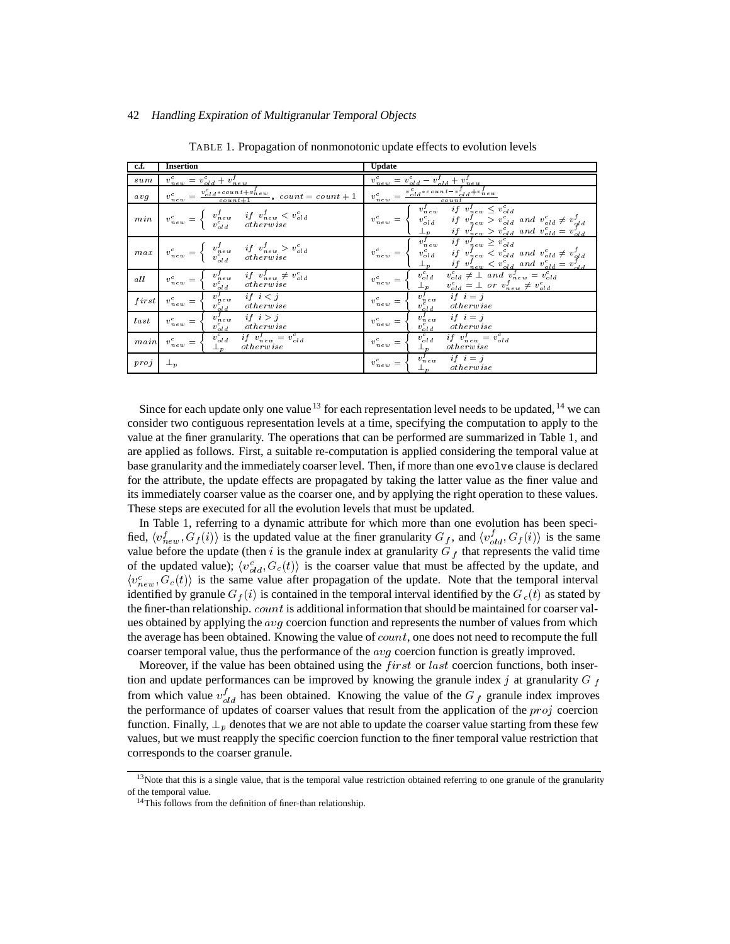| c.f.  | <b>Insertion</b>                                                                                                                                              | <b>Update</b>                                                                                                                                                                                                                                                                                                                                                                                                              |
|-------|---------------------------------------------------------------------------------------------------------------------------------------------------------------|----------------------------------------------------------------------------------------------------------------------------------------------------------------------------------------------------------------------------------------------------------------------------------------------------------------------------------------------------------------------------------------------------------------------------|
| sum   | $v_{new}^c = v_{old}^c + v_{new}^f$                                                                                                                           | $v_{new}^c = v_{old}^c - v_{old}^f + v_{new}^f$                                                                                                                                                                                                                                                                                                                                                                            |
| a v q | $v_{new}^c = \frac{v_{old}^c * count + v_{new}^f}{c^{count+1}}$ , count = count + 1                                                                           | $v_{new}^{c} = \frac{v_{old}^{c} * cov_{1}^{m} + v_{old}^{f} + v_{new}^{f}}{v_{old}^{f} + v_{new}^{f}}$<br>coun                                                                                                                                                                                                                                                                                                            |
|       | $min \mid v_{new}^{c} = \begin{cases} v_{new}^{f} & if \; v_{new}^{f} < v_{old}^{c} \\ v_{old}^{c} & otherwise \end{cases}$                                   | $v_{new}^{c} = \left\{ \begin{array}{cc} v_{new}^{f} & v_{new}^{f} \leq v_{old}^{c} \\ v_{new}^{c} & if \hspace{0.1cm} v_{new}^{f} \leq v_{old}^{c} \end{array} \right. \\ \left. v_{new}^{c} = \left\{ \begin{array}{cc} v_{new}^{f} & if \hspace{0.1cm} v_{new}^{f} \geq v_{old}^{c} \hspace{0.1cm} \text{and} \hspace{0.1cm} v_{old}^{c} \neq v_{old}^{f} \\ \perp_{p} & if \hspace{0.1cm} v_{new}^{f} \geq v_{old}^{c$ |
|       | $max \mid v_{new}^{c} = \begin{cases} v_{new}^{t} & if \; v_{new}^{t} > v_{old}^{c} \\ v_{old}^{c} & otherwise \end{cases}$                                   |                                                                                                                                                                                                                                                                                                                                                                                                                            |
| all   | $\label{eq:1} \boxed{v_{new}^{c}} = \left\{ \begin{array}{ll} v_{new}^{f} & if \ v_{new}^{f} \neq v_{old}^{c} \\ v_{old}^{c} & otherwise \end{array} \right.$ | $v_{new}^c = \sqrt{v_{new}^c}$<br>$v_{old}^c = \perp$ or $v_{new}^f \neq v_{old}^c$                                                                                                                                                                                                                                                                                                                                        |
|       | $\begin{array}{cc} v_{new}^f & if \ i < j \\ v_{old}^c & otherwise \end{array}$<br>$first \mid v_{new}^c =$                                                   | $\begin{array}{cc} v_{new}^f & if \ \ i=j \\ v_{old}^c & otherwise \end{array}$<br>$v^c_{\,e\,w}\,=$<br>otherwise                                                                                                                                                                                                                                                                                                          |
| last  | $\begin{array}{cc} v_{new}^f & if \ i > j \\ v_{old}^c & otherwise \end{array}$<br>$v^c_{new} = \langle$<br>otherwise                                         | $\begin{array}{lll} v_{new}^f & if & i = j \\ v_{old}^c & otherwise \end{array}$<br>$v_{new}^c =$<br>$\ o$ therwise                                                                                                                                                                                                                                                                                                        |
|       | $v_{old}^{c}$ if $v_{new}^{f} = v_{old}^{c}$<br>$\perp_{p}$ otherwise<br>$\begin{array}{c c} main & v^c_{new} = \end{array}$                                  | $v_{old}^c$ if $v_{new}^f = v_{old}^c$<br>$v^c_{\,new} \;=\; \cdot$<br>otherwise                                                                                                                                                                                                                                                                                                                                           |
| proj  | $\perp_p$                                                                                                                                                     | $v_{new}^f \quad \begin{array}{c} \nif \quad i = j \\ \n\perp_p \n\end{array}$<br>$v^c_{new} =$                                                                                                                                                                                                                                                                                                                            |

TABLE 1. Propagation of nonmonotonic update effects to evolution levels

Since for each update only one value  $^{13}$  for each representation level needs to be updated,  $^{14}$  we can consider two contiguous representation levels at a time, specifying the computation to apply to the value at the finer granularity. The operations that can be performed are summarized in Table 1, and are applied as follows. First, a suitable re-computation is applied considering the temporal value at base granularity and the immediately coarser level. Then, if more than one evolve clause is declared for the attribute, the update effects are propagated by taking the latter value as the finer value and its immediately coarser value as the coarser one, and by applying the right operation to these values. These steps are executed for all the evolution levels that must be updated.

In Table 1, referring to a dynamic attribute for which more than one evolution has been specified,  $\langle v_{new}^f, G_f(i) \rangle$  is the updated value at the finer granularity  $G_f$ , and  $\langle v_{old}^f, G_f(i) \rangle$  is the same value before the update (then *i* is the granule index at granularity  $G_f$  that represents the valid time of the updated value);  $\langle v_{old}^c, G_c(t) \rangle$  is the coarser value that must be affected by the update, and  $\langle v_{new}^c, G_c(t) \rangle$  is the same value after propagation of the update. Note that the temporal interval identified by granule  $G_f(i)$  is contained in the temporal interval identified by the  $G_c(t)$  as stated by the finer-than relationship.  $count$  is additional information that should be maintained for coarser values obtained by applying the *avg* coercion function and represents the number of values from which the average has been obtained. Knowing the value of  $count$ , one does not need to recompute the full coarser temporal value, thus the performance of the  $avg$  coercion function is greatly improved.

Moreover, if the value has been obtained using the  $first$  or  $last$  coercion functions, both insertion and update performances can be improved by knowing the granule index  $j$  at granularity  $G_f$ from which value  $v_{old}^J$  has been obtained. Knowing the value of the  $G_f$  granule index improves the performance of updates of coarser values that result from the application of the *proj* coercion function. Finally,  $\perp_p$  denotes that we are not able to update the coarser value starting from these few values, but we must reapply the specific coercion function to the finer temporal value restriction that corresponds to the coarser granule.

<sup>&</sup>lt;sup>13</sup>Note that this is a single value, that is the temporal value restriction obtained referring to one granule of the granularity of the temporal value.

<sup>&</sup>lt;sup>14</sup>This follows from the definition of finer-than relationship.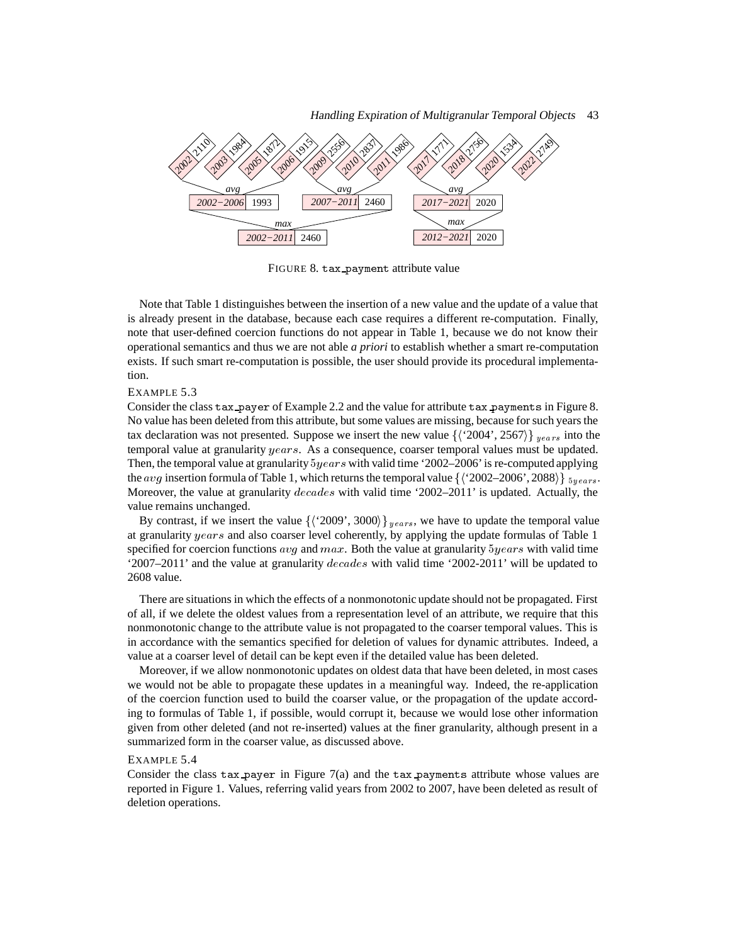

FIGURE 8. tax\_payment attribute value

Note that Table 1 distinguishes between the insertion of a new value and the update of a value that is already present in the database, because each case requires a different re-computation. Finally, note that user-defined coercion functions do not appear in Table 1, because we do not know their operational semantics and thus we are not able *a priori* to establish whether a smart re-computation exists. If such smart re-computation is possible, the user should provide its procedural implementation.

#### EXAMPLE 5.3

Consider the class tax\_payer of Example 2.2 and the value for attribute tax\_payments in Figure 8. No value has been deleted from this attribute, but some values are missing, because for such years the tax declaration was not presented. Suppose we insert the new value  $\{('2004', 2567)\}\$ temporal value at granularity *years*. As a consequence, coarser temporal values must be updated. Then, the temporal value at granularity  $5 years$  with valid time '2002–2006' is re-computed applying the avg insertion formula of Table 1, which returns the temporal value  $\{(2002-2006, 2088)\}\$ Moreover, the value at granularity  $decades$  with valid time '2002–2011' is updated. Actually, the value remains unchanged.

By contrast, if we insert the value  $\{ \langle 2009, 3000 \rangle \}_{years}$ , we have to update the temporal value at granularity years and also coarser level coherently, by applying the update formulas of Table 1 specified for coercion functions  $avg$  and  $max$ . Both the value at granularity  $5 \text{ years}$  with valid time ' $2007-2011$ ' and the value at granularity  $decades$  with valid time ' $2002-2011$ ' will be updated to 2608 value.

There are situations in which the effects of a nonmonotonic update should not be propagated. First of all, if we delete the oldest values from a representation level of an attribute, we require that this nonmonotonic change to the attribute value is not propagated to the coarser temporal values. This is in accordance with the semantics specified for deletion of values for dynamic attributes. Indeed, a value at a coarser level of detail can be kept even if the detailed value has been deleted.

Moreover, if we allow nonmonotonic updates on oldest data that have been deleted, in most cases we would not be able to propagate these updates in a meaningful way. Indeed, the re-application of the coercion function used to build the coarser value, or the propagation of the update according to formulas of Table 1, if possible, would corrupt it, because we would lose other information given from other deleted (and not re-inserted) values at the finer granularity, although present in a summarized form in the coarser value, as discussed above.

## EXAMPLE 5.4

Consider the class  $\text{tax\_paper}$  in Figure 7(a) and the  $\text{tax\_payments}$  attribute whose values are reported in Figure 1. Values, referring valid years from 2002 to 2007, have been deleted as result of deletion operations.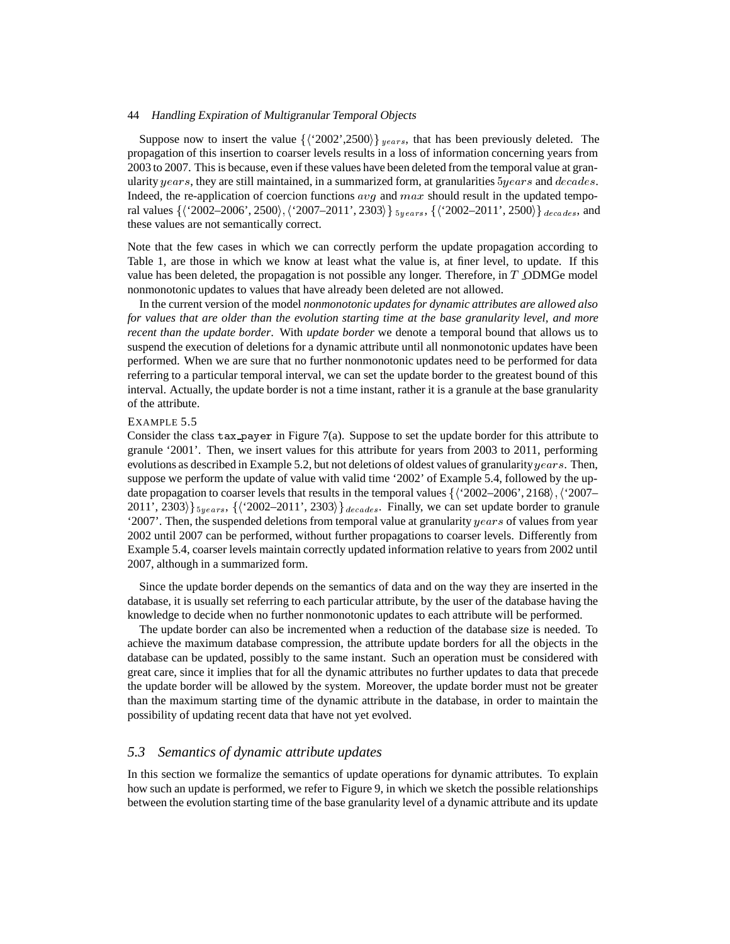Suppose now to insert the value  $\{(2002',2500)\}_{\text{years}}$ , that has been previously deleted. The propagation of this insertion to coarser levels results in a loss of information concerning years from 2003 to 2007. This is because, even if these values have been deleted from the temporal value at granularity  $years$ , they are still maintained, in a summarized form, at granularities  $5 years$  and  $decades$ . Indeed, the re-application of coercion functions  $avg$  and  $max$  should result in the updated temporal values  $\{\langle 2002–2006',2500\rangle ,\langle 2007–2011',2303\rangle\}$   $_{5years},$   $\{\langle 2002–2011',2500\rangle\}$   $_{decades},$  and these values are not semantically correct.

Note that the few cases in which we can correctly perform the update propagation according to Table 1, are those in which we know at least what the value is, at finer level, to update. If this value has been deleted, the propagation is not possible any longer. Therefore, in  $T$  ODMGe model nonmonotonic updates to values that have already been deleted are not allowed.

In the current version of the model *nonmonotonic updates for dynamic attributes are allowed also for values that are older than the evolution starting time at the base granularity level, and more recent than the update border*. With *update border* we denote a temporal bound that allows us to suspend the execution of deletions for a dynamic attribute until all nonmonotonic updates have been performed. When we are sure that no further nonmonotonic updates need to be performed for data referring to a particular temporal interval, we can set the update border to the greatest bound of this interval. Actually, the update border is not a time instant, rather it is a granule at the base granularity of the attribute.

#### EXAMPLE 5.5

Consider the class  $\text{tax\_\_p}$  in Figure 7(a). Suppose to set the update border for this attribute to granule '2001'. Then, we insert values for this attribute for years from 2003 to 2011, performing evolutions as described in Example 5.2, but not deletions of oldest values of granularity  $years$ . Then, suppose we perform the update of value with valid time '2002' of Example 5.4, followed by the update propagation to coarser levels that results in the temporal values  $\{\langle 2002-2006, 2168 \rangle, \langle 2007-$ 2011', 2303)  $\frac{1}{2}$   $\frac{1}{2}$   $\frac{2002-2011'}{2303}$   $\frac{1}{2}$   $\frac{1}{2}$   $\frac{1}{2}$  Finally, we can set update border to granule  $2007$ . Then, the suspended deletions from temporal value at granularity *years* of values from year 2002 until 2007 can be performed, without further propagations to coarser levels. Differently from Example 5.4, coarser levels maintain correctly updated information relative to years from 2002 until 2007, although in a summarized form.

Since the update border depends on the semantics of data and on the way they are inserted in the database, it is usually set referring to each particular attribute, by the user of the database having the knowledge to decide when no further nonmonotonic updates to each attribute will be performed.

The update border can also be incremented when a reduction of the database size is needed. To achieve the maximum database compression, the attribute update borders for all the objects in the database can be updated, possibly to the same instant. Such an operation must be considered with great care, since it implies that for all the dynamic attributes no further updates to data that precede the update border will be allowed by the system. Moreover, the update border must not be greater than the maximum starting time of the dynamic attribute in the database, in order to maintain the possibility of updating recent data that have not yet evolved.

## *5.3 Semantics of dynamic attribute updates*

In this section we formalize the semantics of update operations for dynamic attributes. To explain how such an update is performed, we refer to Figure 9, in which we sketch the possible relationships between the evolution starting time of the base granularity level of a dynamic attribute and its update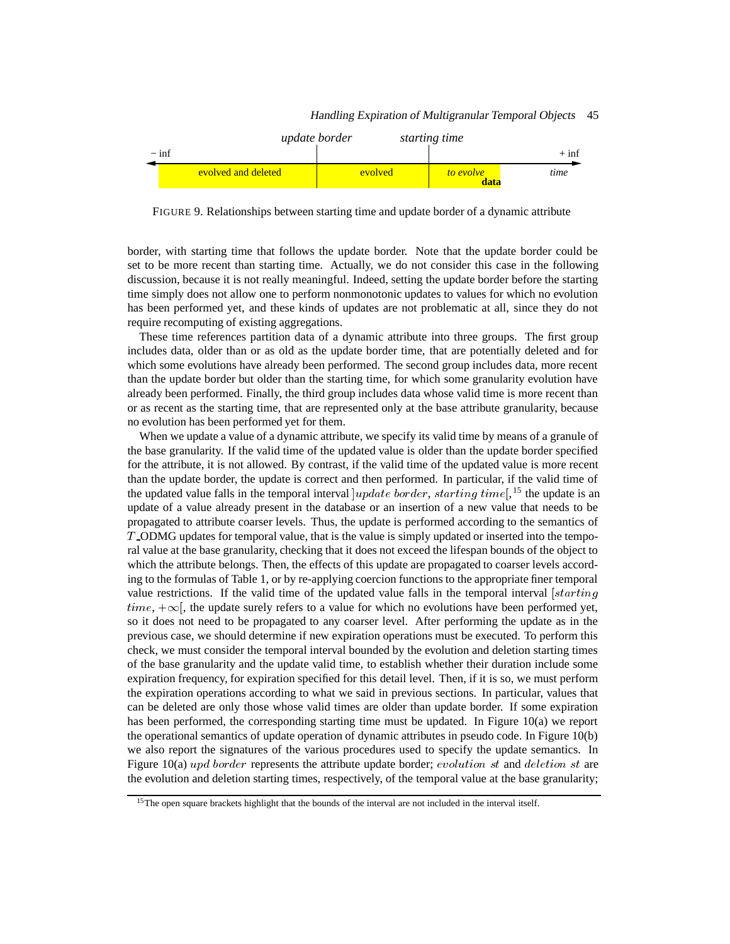

FIGURE 9. Relationships between starting time and update border of a dynamic attribute

border, with starting time that follows the update border. Note that the update border could be set to be more recent than starting time. Actually, we do not consider this case in the following discussion, because it is not really meaningful. Indeed, setting the update border before the starting time simply does not allow one to perform nonmonotonic updates to values for which no evolution has been performed yet, and these kinds of updates are not problematic at all, since they do not require recomputing of existing aggregations.

These time references partition data of a dynamic attribute into three groups. The first group includes data, older than or as old as the update border time, that are potentially deleted and for which some evolutions have already been performed. The second group includes data, more recent than the update border but older than the starting time, for which some granularity evolution have already been performed. Finally, the third group includes data whose valid time is more recent than or as recent as the starting time, that are represented only at the base attribute granularity, because no evolution has been performed yet for them.

When we update a value of a dynamic attribute, we specify its valid time by means of a granule of the base granularity. If the valid time of the updated value is older than the update border specified for the attribute, it is not allowed. By contrast, if the valid time of the updated value is more recent than the update border, the update is correct and then performed. In particular, if the valid time of the updated value falls in the temporal interval  $\vert update\ border$ , starting time[, <sup>15</sup> the update is an update of a value already present in the database or an insertion of a new value that needs to be propagated to attribute coarser levels. Thus, the update is performed according to the semantics of  $T_{\rm \bullet}$  ODMG updates for temporal value, that is the value is simply updated or inserted into the temporal value at the base granularity, checking that it does not exceed the lifespan bounds of the object to which the attribute belongs. Then, the effects of this update are propagated to coarser levels according to the formulas of Table 1, or by re-applying coercion functions to the appropriate finer temporal value restrictions. If the valid time of the updated value falls in the temporal interval [starting]  $time, +\infty$ , the update surely refers to a value for which no evolutions have been performed yet, so it does not need to be propagated to any coarser level. After performing the update as in the previous case, we should determine if new expiration operations must be executed. To perform this check, we must consider the temporal interval bounded by the evolution and deletion starting times of the base granularity and the update valid time, to establish whether their duration include some expiration frequency, for expiration specified for this detail level. Then, if it is so, we must perform the expiration operations according to what we said in previous sections. In particular, values that can be deleted are only those whose valid times are older than update border. If some expiration has been performed, the corresponding starting time must be updated. In Figure 10(a) we report the operational semantics of update operation of dynamic attributes in pseudo code. In Figure 10(b) we also report the signatures of the various procedures used to specify the update semantics. In Figure 10(a) upd border represents the attribute update border; evolution st and deletion st are the evolution and deletion starting times, respectively, of the temporal value at the base granularity;

<sup>&</sup>lt;sup>15</sup>The open square brackets highlight that the bounds of the interval are not included in the interval itself.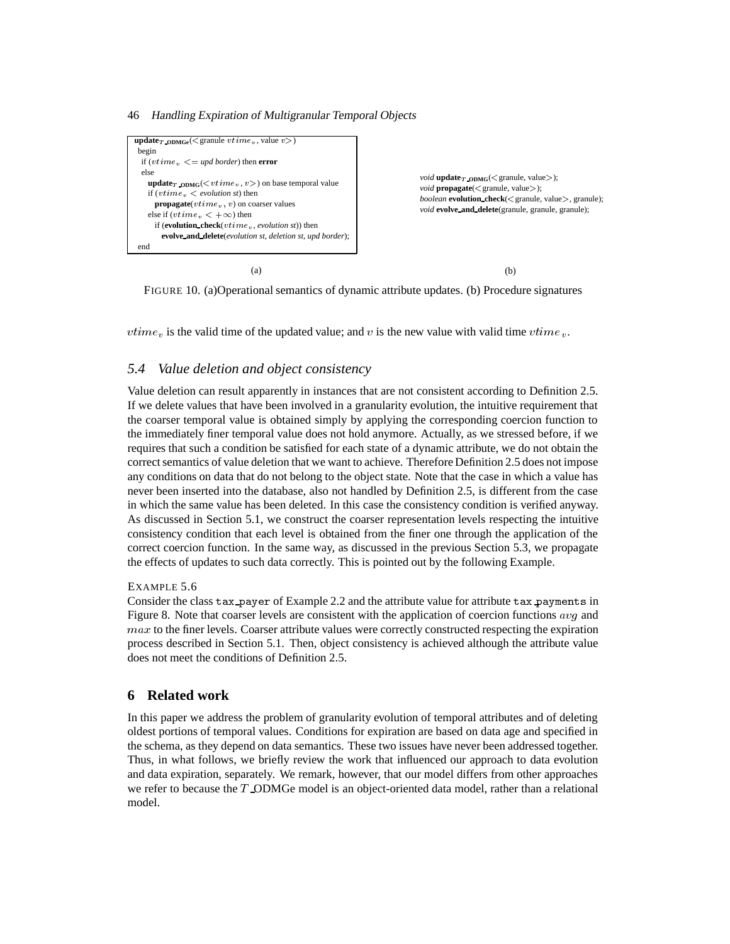

FIGURE 10. (a)Operational semantics of dynamic attribute updates. (b) Procedure signatures

 $vitime<sub>v</sub>$  is the valid time of the updated value; and v is the new value with valid time  $vitime<sub>v</sub>$ .

# *5.4 Value deletion and object consistency*

Value deletion can result apparently in instances that are not consistent according to Definition 2.5. If we delete values that have been involved in a granularity evolution, the intuitive requirement that the coarser temporal value is obtained simply by applying the corresponding coercion function to the immediately finer temporal value does not hold anymore. Actually, as we stressed before, if we requires that such a condition be satisfied for each state of a dynamic attribute, we do not obtain the correct semantics of value deletion that we want to achieve. Therefore Definition 2.5 does not impose any conditions on data that do not belong to the object state. Note that the case in which a value has never been inserted into the database, also not handled by Definition 2.5, is different from the case in which the same value has been deleted. In this case the consistency condition is verified anyway. As discussed in Section 5.1, we construct the coarser representation levels respecting the intuitive consistency condition that each level is obtained from the finer one through the application of the correct coercion function. In the same way, as discussed in the previous Section 5.3, we propagate the effects of updates to such data correctly. This is pointed out by the following Example.

## EXAMPLE 5.6

Consider the class  $\tanctan x$  payer of Example 2.2 and the attribute value for attribute  $\tan x$  payments in Figure 8. Note that coarser levels are consistent with the application of coercion functions  $avg$  and  $max$  to the finer levels. Coarser attribute values were correctly constructed respecting the expiration process described in Section 5.1. Then, object consistency is achieved although the attribute value does not meet the conditions of Definition 2.5.

# **6 Related work**

In this paper we address the problem of granularity evolution of temporal attributes and of deleting oldest portions of temporal values. Conditions for expiration are based on data age and specified in the schema, as they depend on data semantics. These two issues have never been addressed together. Thus, in what follows, we briefly review the work that influenced our approach to data evolution and data expiration, separately. We remark, however, that our model differs from other approaches we refer to because the  $T_\text{-ODMGe}$  model is an object-oriented data model, rather than a relational model.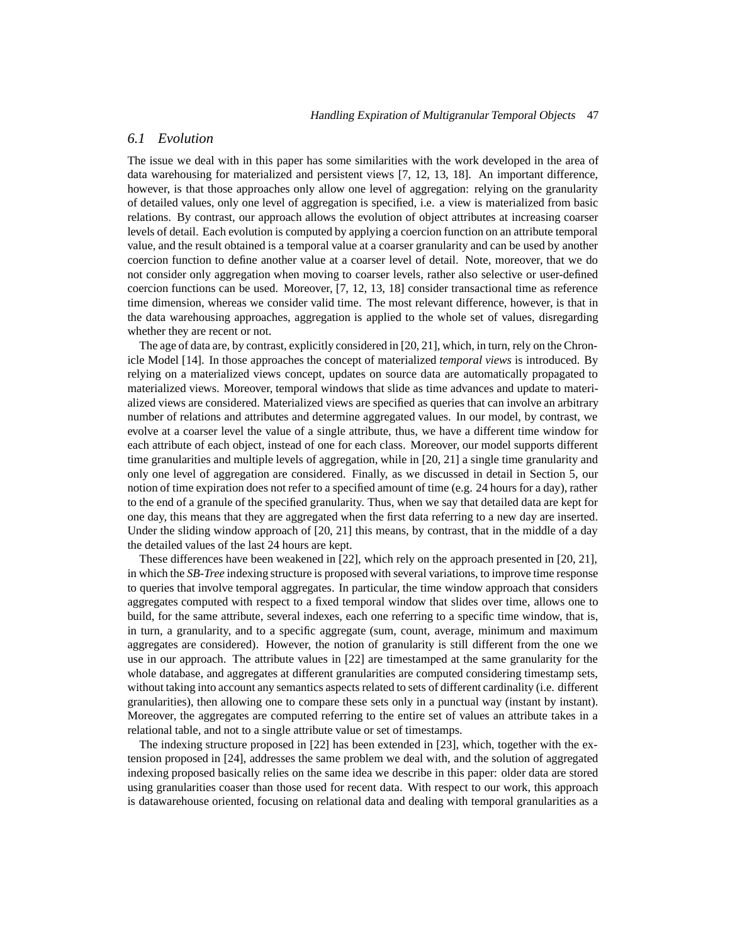# *6.1 Evolution*

The issue we deal with in this paper has some similarities with the work developed in the area of data warehousing for materialized and persistent views [7, 12, 13, 18]. An important difference, however, is that those approaches only allow one level of aggregation: relying on the granularity of detailed values, only one level of aggregation is specified, i.e. a view is materialized from basic relations. By contrast, our approach allows the evolution of object attributes at increasing coarser levels of detail. Each evolution is computed by applying a coercion function on an attribute temporal value, and the result obtained is a temporal value at a coarser granularity and can be used by another coercion function to define another value at a coarser level of detail. Note, moreover, that we do not consider only aggregation when moving to coarser levels, rather also selective or user-defined coercion functions can be used. Moreover, [7, 12, 13, 18] consider transactional time as reference time dimension, whereas we consider valid time. The most relevant difference, however, is that in the data warehousing approaches, aggregation is applied to the whole set of values, disregarding whether they are recent or not.

The age of data are, by contrast, explicitly considered in [20, 21], which, in turn, rely on the Chronicle Model [14]. In those approaches the concept of materialized *temporal views* is introduced. By relying on a materialized views concept, updates on source data are automatically propagated to materialized views. Moreover, temporal windows that slide as time advances and update to materialized views are considered. Materialized views are specified as queries that can involve an arbitrary number of relations and attributes and determine aggregated values. In our model, by contrast, we evolve at a coarser level the value of a single attribute, thus, we have a different time window for each attribute of each object, instead of one for each class. Moreover, our model supports different time granularities and multiple levels of aggregation, while in [20, 21] a single time granularity and only one level of aggregation are considered. Finally, as we discussed in detail in Section 5, our notion of time expiration does not refer to a specified amount of time (e.g. 24 hours for a day), rather to the end of a granule of the specified granularity. Thus, when we say that detailed data are kept for one day, this means that they are aggregated when the first data referring to a new day are inserted. Under the sliding window approach of [20, 21] this means, by contrast, that in the middle of a day the detailed values of the last 24 hours are kept.

These differences have been weakened in [22], which rely on the approach presented in [20, 21], in which the *SB-Tree* indexing structure is proposed with several variations, to improve time response to queries that involve temporal aggregates. In particular, the time window approach that considers aggregates computed with respect to a fixed temporal window that slides over time, allows one to build, for the same attribute, several indexes, each one referring to a specific time window, that is, in turn, a granularity, and to a specific aggregate (sum, count, average, minimum and maximum aggregates are considered). However, the notion of granularity is still different from the one we use in our approach. The attribute values in [22] are timestamped at the same granularity for the whole database, and aggregates at different granularities are computed considering timestamp sets, without taking into account any semantics aspects related to sets of different cardinality (i.e. different granularities), then allowing one to compare these sets only in a punctual way (instant by instant). Moreover, the aggregates are computed referring to the entire set of values an attribute takes in a relational table, and not to a single attribute value or set of timestamps.

The indexing structure proposed in [22] has been extended in [23], which, together with the extension proposed in [24], addresses the same problem we deal with, and the solution of aggregated indexing proposed basically relies on the same idea we describe in this paper: older data are stored using granularities coaser than those used for recent data. With respect to our work, this approach is datawarehouse oriented, focusing on relational data and dealing with temporal granularities as a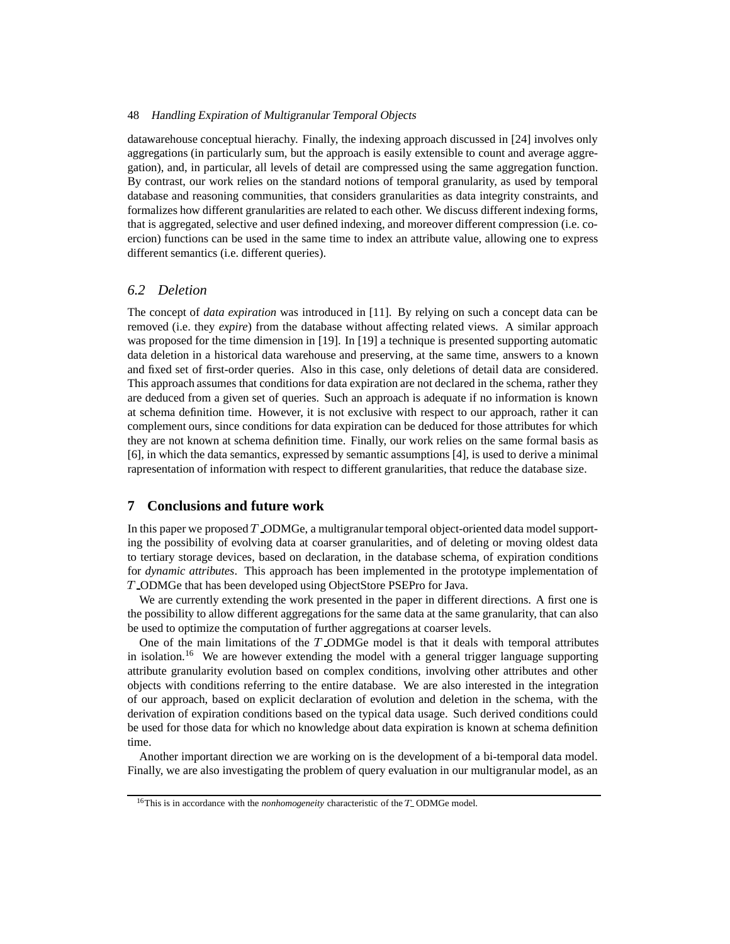datawarehouse conceptual hierachy. Finally, the indexing approach discussed in [24] involves only aggregations (in particularly sum, but the approach is easily extensible to count and average aggregation), and, in particular, all levels of detail are compressed using the same aggregation function. By contrast, our work relies on the standard notions of temporal granularity, as used by temporal database and reasoning communities, that considers granularities as data integrity constraints, and formalizes how different granularities are related to each other. We discuss different indexing forms, that is aggregated, selective and user defined indexing, and moreover different compression (i.e. coercion) functions can be used in the same time to index an attribute value, allowing one to express different semantics (i.e. different queries).

## *6.2 Deletion*

The concept of *data expiration* was introduced in [11]. By relying on such a concept data can be removed (i.e. they *expire*) from the database without affecting related views. A similar approach was proposed for the time dimension in [19]. In [19] a technique is presented supporting automatic data deletion in a historical data warehouse and preserving, at the same time, answers to a known and fixed set of first-order queries. Also in this case, only deletions of detail data are considered. This approach assumes that conditions for data expiration are not declared in the schema, rather they are deduced from a given set of queries. Such an approach is adequate if no information is known at schema definition time. However, it is not exclusive with respect to our approach, rather it can complement ours, since conditions for data expiration can be deduced for those attributes for which they are not known at schema definition time. Finally, our work relies on the same formal basis as [6], in which the data semantics, expressed by semantic assumptions [4], is used to derive a minimal rapresentation of information with respect to different granularities, that reduce the database size.

# **7 Conclusions and future work**

In this paper we proposed  $T$  ODMGe, a multigranular temporal object-oriented data model supporting the possibility of evolving data at coarser granularities, and of deleting or moving oldest data to tertiary storage devices, based on declaration, in the database schema, of expiration conditions for *dynamic attributes*. This approach has been implemented in the prototype implementation of ODMGe that has been developed using ObjectStore PSEPro for Java.

We are currently extending the work presented in the paper in different directions. A first one is the possibility to allow different aggregations for the same data at the same granularity, that can also be used to optimize the computation of further aggregations at coarser levels.

One of the main limitations of the  $T$ -ODMGe model is that it deals with temporal attributes in isolation.<sup>16</sup> We are however extending the model with a general trigger language supporting attribute granularity evolution based on complex conditions, involving other attributes and other objects with conditions referring to the entire database. We are also interested in the integration of our approach, based on explicit declaration of evolution and deletion in the schema, with the derivation of expiration conditions based on the typical data usage. Such derived conditions could be used for those data for which no knowledge about data expiration is known at schema definition time.

Another important direction we are working on is the development of a bi-temporal data model. Finally, we are also investigating the problem of query evaluation in our multigranular model, as an

<sup>&</sup>lt;sup>16</sup>This is in accordance with the *nonhomogeneity* characteristic of the  $T_{\text{-}}$  ODMGe model.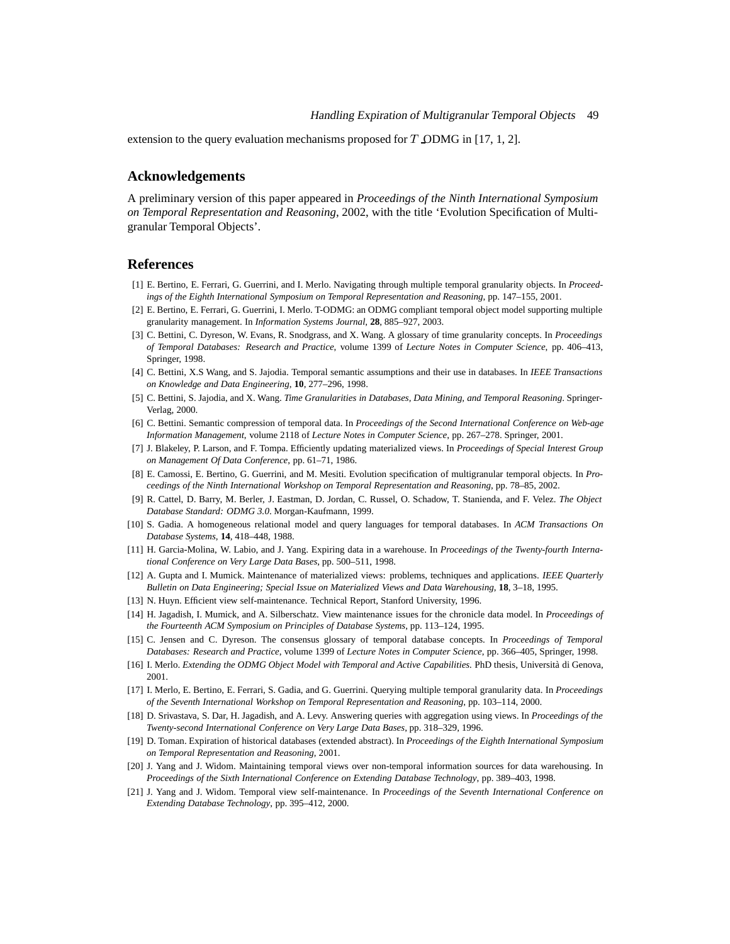extension to the query evaluation mechanisms proposed for  $T$  ODMG in [17, 1, 2].

## **Acknowledgements**

A preliminary version of this paper appeared in *Proceedings of the Ninth International Symposium on Temporal Representation and Reasoning*, 2002, with the title 'Evolution Specification of Multigranular Temporal Objects'.

# **References**

- [1] E. Bertino, E. Ferrari, G. Guerrini, and I. Merlo. Navigating through multiple temporal granularity objects. In *Proceedings of the Eighth International Symposium on Temporal Representation and Reasoning*, pp. 147–155, 2001.
- [2] E. Bertino, E. Ferrari, G. Guerrini, I. Merlo. T-ODMG: an ODMG compliant temporal object model supporting multiple granularity management. In *Information Systems Journal*, **28**, 885–927, 2003.
- [3] C. Bettini, C. Dyreson, W. Evans, R. Snodgrass, and X. Wang. A glossary of time granularity concepts. In *Proceedings of Temporal Databases: Research and Practice*, volume 1399 of *Lecture Notes in Computer Science*, pp. 406–413, Springer, 1998.
- [4] C. Bettini, X.S Wang, and S. Jajodia. Temporal semantic assumptions and their use in databases. In *IEEE Transactions on Knowledge and Data Engineering*, **10**, 277–296, 1998.
- [5] C. Bettini, S. Jajodia, and X. Wang. *Time Granularities in Databases, Data Mining, and Temporal Reasoning*. Springer-Verlag, 2000.
- [6] C. Bettini. Semantic compression of temporal data. In *Proceedings of the Second International Conference on Web-age Information Management*, volume 2118 of *Lecture Notes in Computer Science*, pp. 267–278. Springer, 2001.
- [7] J. Blakeley, P. Larson, and F. Tompa. Efficiently updating materialized views. In *Proceedings of Special Interest Group on Management Of Data Conference*, pp. 61–71, 1986.
- [8] E. Camossi, E. Bertino, G. Guerrini, and M. Mesiti. Evolution specification of multigranular temporal objects. In *Proceedings of the Ninth International Workshop on Temporal Representation and Reasoning*, pp. 78–85, 2002.
- [9] R. Cattel, D. Barry, M. Berler, J. Eastman, D. Jordan, C. Russel, O. Schadow, T. Stanienda, and F. Velez. *The Object Database Standard: ODMG 3.0*. Morgan-Kaufmann, 1999.
- [10] S. Gadia. A homogeneous relational model and query languages for temporal databases. In *ACM Transactions On Database Systems*, **14**, 418–448, 1988.
- [11] H. Garcia-Molina, W. Labio, and J. Yang. Expiring data in a warehouse. In *Proceedings of the Twenty-fourth International Conference on Very Large Data Bases*, pp. 500–511, 1998.
- [12] A. Gupta and I. Mumick. Maintenance of materialized views: problems, techniques and applications. *IEEE Quarterly Bulletin on Data Engineering; Special Issue on Materialized Views and Data Warehousing*, **18**, 3–18, 1995.
- [13] N. Huyn. Efficient view self-maintenance. Technical Report, Stanford University, 1996.
- [14] H. Jagadish, I. Mumick, and A. Silberschatz. View maintenance issues for the chronicle data model. In *Proceedings of the Fourteenth ACM Symposium on Principles of Database Systems*, pp. 113–124, 1995.
- [15] C. Jensen and C. Dyreson. The consensus glossary of temporal database concepts. In *Proceedings of Temporal Databases: Research and Practice*, volume 1399 of *Lecture Notes in Computer Science*, pp. 366–405, Springer, 1998.
- [16] I. Merlo. *Extending the ODMG Object Model with Temporal and Active Capabilities*. PhD thesis, Università di Genova, 2001.
- [17] I. Merlo, E. Bertino, E. Ferrari, S. Gadia, and G. Guerrini. Querying multiple temporal granularity data. In *Proceedings of the Seventh International Workshop on Temporal Representation and Reasoning*, pp. 103–114, 2000.
- [18] D. Srivastava, S. Dar, H. Jagadish, and A. Levy. Answering queries with aggregation using views. In *Proceedings of the Twenty-second International Conference on Very Large Data Bases*, pp. 318–329, 1996.
- [19] D. Toman. Expiration of historical databases (extended abstract). In *Proceedings of the Eighth International Symposium on Temporal Representation and Reasoning*, 2001.
- [20] J. Yang and J. Widom. Maintaining temporal views over non-temporal information sources for data warehousing. In *Proceedings of the Sixth International Conference on Extending Database Technology*, pp. 389–403, 1998.
- [21] J. Yang and J. Widom. Temporal view self-maintenance. In *Proceedings of the Seventh International Conference on Extending Database Technology*, pp. 395–412, 2000.